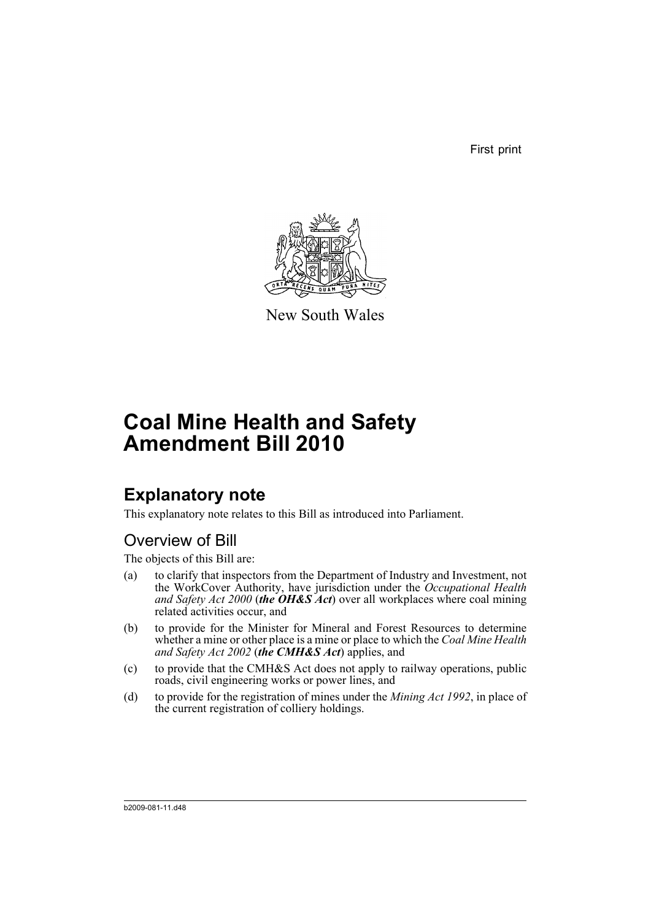First print



New South Wales

# **Coal Mine Health and Safety Amendment Bill 2010**

## **Explanatory note**

This explanatory note relates to this Bill as introduced into Parliament.

## Overview of Bill

The objects of this Bill are:

- (a) to clarify that inspectors from the Department of Industry and Investment, not the WorkCover Authority, have jurisdiction under the *Occupational Health and Safety Act 2000* (*the OH&S Act*) over all workplaces where coal mining related activities occur, and
- (b) to provide for the Minister for Mineral and Forest Resources to determine whether a mine or other place is a mine or place to which the *Coal Mine Health and Safety Act 2002* (*the CMH&S Act*) applies, and
- (c) to provide that the CMH&S Act does not apply to railway operations, public roads, civil engineering works or power lines, and
- (d) to provide for the registration of mines under the *Mining Act 1992*, in place of the current registration of colliery holdings.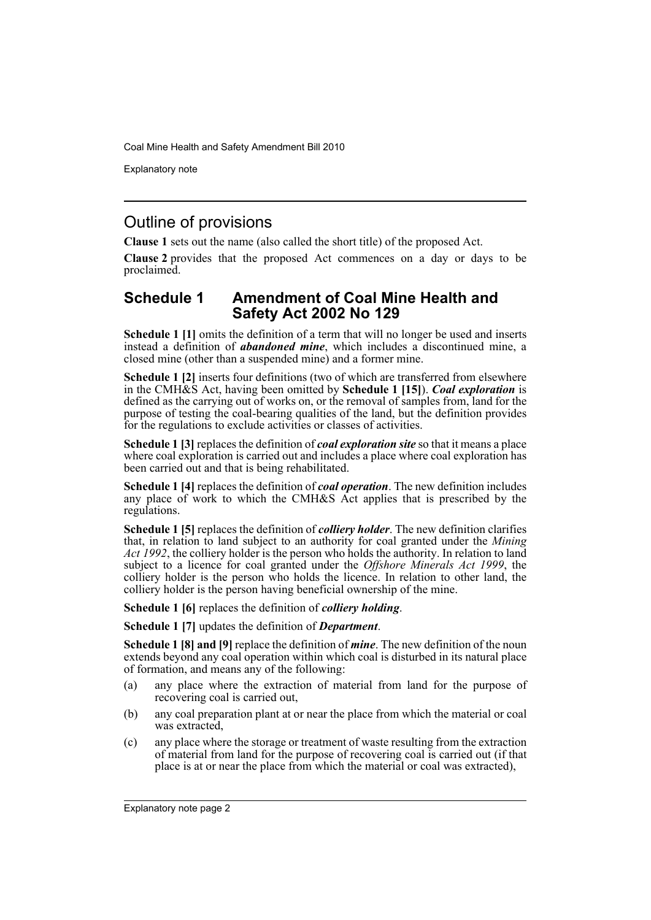Explanatory note

## Outline of provisions

**Clause 1** sets out the name (also called the short title) of the proposed Act.

**Clause 2** provides that the proposed Act commences on a day or days to be proclaimed.

### **Schedule 1 Amendment of Coal Mine Health and Safety Act 2002 No 129**

**Schedule 1 [1]** omits the definition of a term that will no longer be used and inserts instead a definition of *abandoned mine*, which includes a discontinued mine, a closed mine (other than a suspended mine) and a former mine.

**Schedule 1 [2]** inserts four definitions (two of which are transferred from elsewhere in the CMH&S Act, having been omitted by **Schedule 1 [15]**). *Coal exploration* is defined as the carrying out of works on, or the removal of samples from, land for the purpose of testing the coal-bearing qualities of the land, but the definition provides for the regulations to exclude activities or classes of activities.

**Schedule 1 [3]** replaces the definition of *coal exploration site* so that it means a place where coal exploration is carried out and includes a place where coal exploration has been carried out and that is being rehabilitated.

**Schedule 1 [4]** replaces the definition of *coal operation*. The new definition includes any place of work to which the CMH&S Act applies that is prescribed by the regulations.

**Schedule 1 [5]** replaces the definition of *colliery holder*. The new definition clarifies that, in relation to land subject to an authority for coal granted under the *Mining Act 1992*, the colliery holder is the person who holds the authority. In relation to land subject to a licence for coal granted under the *Offshore Minerals Act 1999*, the colliery holder is the person who holds the licence. In relation to other land, the colliery holder is the person having beneficial ownership of the mine.

**Schedule 1 [6]** replaces the definition of *colliery holding*.

**Schedule 1 [7]** updates the definition of *Department*.

**Schedule 1 [8] and [9]** replace the definition of *mine*. The new definition of the noun extends beyond any coal operation within which coal is disturbed in its natural place of formation, and means any of the following:

- (a) any place where the extraction of material from land for the purpose of recovering coal is carried out,
- (b) any coal preparation plant at or near the place from which the material or coal was extracted.
- (c) any place where the storage or treatment of waste resulting from the extraction of material from land for the purpose of recovering coal is carried out (if that place is at or near the place from which the material or coal was extracted),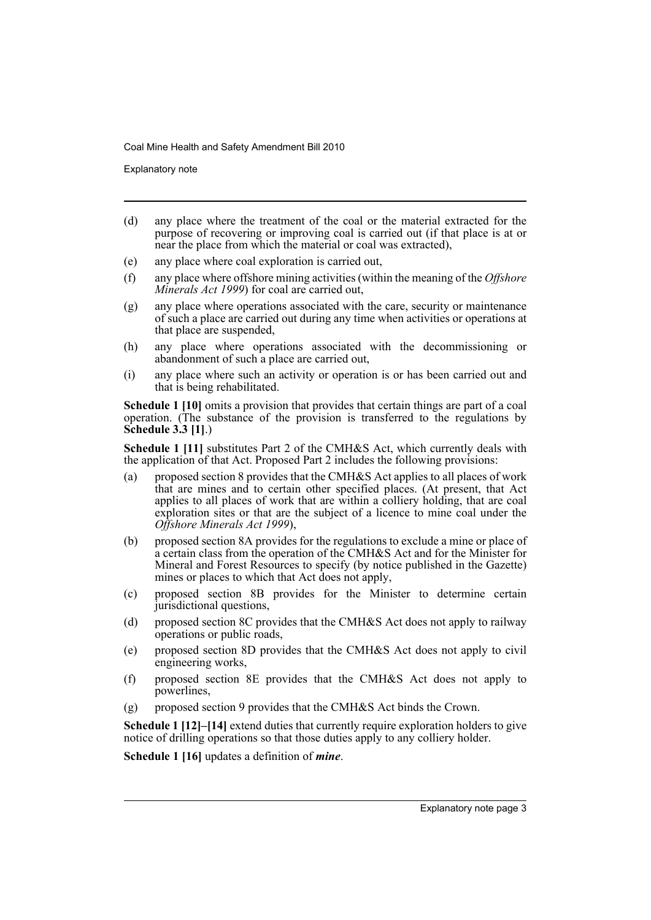Explanatory note

- (d) any place where the treatment of the coal or the material extracted for the purpose of recovering or improving coal is carried out (if that place is at or near the place from which the material or coal was extracted),
- (e) any place where coal exploration is carried out,
- (f) any place where offshore mining activities (within the meaning of the *Offshore Minerals Act 1999*) for coal are carried out,
- (g) any place where operations associated with the care, security or maintenance of such a place are carried out during any time when activities or operations at that place are suspended,
- (h) any place where operations associated with the decommissioning or abandonment of such a place are carried out,
- (i) any place where such an activity or operation is or has been carried out and that is being rehabilitated.

**Schedule 1 [10]** omits a provision that provides that certain things are part of a coal operation. (The substance of the provision is transferred to the regulations by **Schedule 3.3 [1]**.)

**Schedule 1 [11]** substitutes Part 2 of the CMH&S Act, which currently deals with the application of that Act. Proposed Part 2 includes the following provisions:

- (a) proposed section 8 provides that the CMH&S Act applies to all places of work that are mines and to certain other specified places. (At present, that Act applies to all places of work that are within a colliery holding, that are coal exploration sites or that are the subject of a licence to mine coal under the *Offshore Minerals Act 1999*),
- (b) proposed section 8A provides for the regulations to exclude a mine or place of a certain class from the operation of the CMH&S Act and for the Minister for Mineral and Forest Resources to specify (by notice published in the Gazette) mines or places to which that Act does not apply,
- (c) proposed section 8B provides for the Minister to determine certain jurisdictional questions,
- (d) proposed section 8C provides that the CMH&S Act does not apply to railway operations or public roads,
- (e) proposed section 8D provides that the CMH&S Act does not apply to civil engineering works,
- (f) proposed section 8E provides that the CMH&S Act does not apply to powerlines,
- (g) proposed section 9 provides that the CMH&S Act binds the Crown.

**Schedule 1 [12]–[14]** extend duties that currently require exploration holders to give notice of drilling operations so that those duties apply to any colliery holder.

**Schedule 1 [16]** updates a definition of *mine*.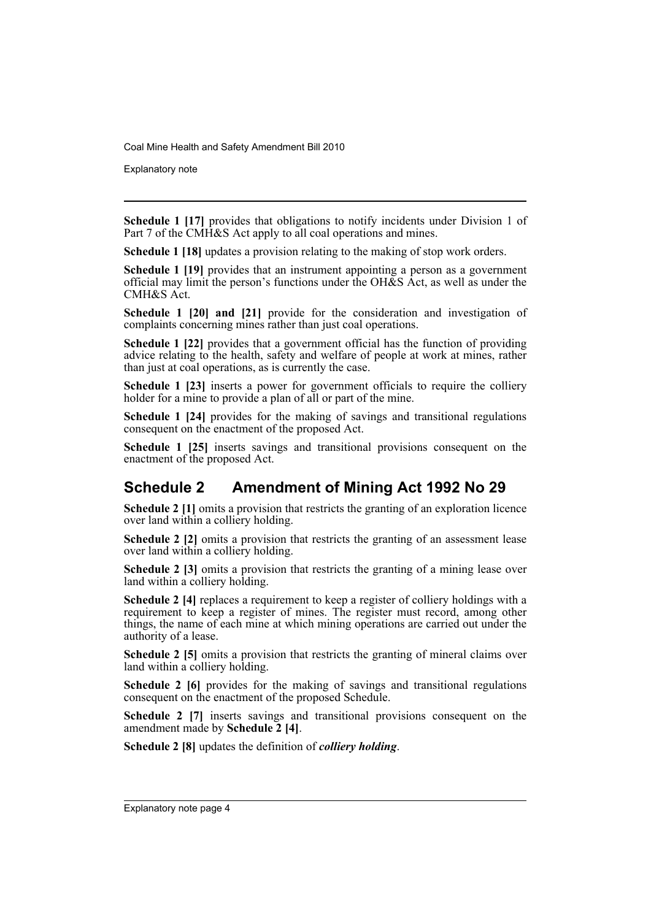Explanatory note

**Schedule 1 [17]** provides that obligations to notify incidents under Division 1 of Part 7 of the CMH&S Act apply to all coal operations and mines.

**Schedule 1 [18]** updates a provision relating to the making of stop work orders.

**Schedule 1 [19]** provides that an instrument appointing a person as a government official may limit the person's functions under the OH&S Act, as well as under the CMH&S Act.

**Schedule 1 [20] and [21]** provide for the consideration and investigation of complaints concerning mines rather than just coal operations.

**Schedule 1 [22]** provides that a government official has the function of providing advice relating to the health, safety and welfare of people at work at mines, rather than just at coal operations, as is currently the case.

**Schedule 1 [23]** inserts a power for government officials to require the colliery holder for a mine to provide a plan of all or part of the mine.

**Schedule 1 [24]** provides for the making of savings and transitional regulations consequent on the enactment of the proposed Act.

**Schedule 1 [25]** inserts savings and transitional provisions consequent on the enactment of the proposed Act.

## **Schedule 2 Amendment of Mining Act 1992 No 29**

**Schedule 2 [1]** omits a provision that restricts the granting of an exploration licence over land within a colliery holding.

**Schedule 2 [2]** omits a provision that restricts the granting of an assessment lease over land within a colliery holding.

**Schedule 2 [3]** omits a provision that restricts the granting of a mining lease over land within a colliery holding.

**Schedule 2 [4]** replaces a requirement to keep a register of colliery holdings with a requirement to keep a register of mines. The register must record, among other things, the name of each mine at which mining operations are carried out under the authority of a lease.

**Schedule 2 [5]** omits a provision that restricts the granting of mineral claims over land within a colliery holding.

**Schedule 2 [6]** provides for the making of savings and transitional regulations consequent on the enactment of the proposed Schedule.

**Schedule 2** [7] inserts savings and transitional provisions consequent on the amendment made by **Schedule 2 [4]**.

**Schedule 2 [8]** updates the definition of *colliery holding*.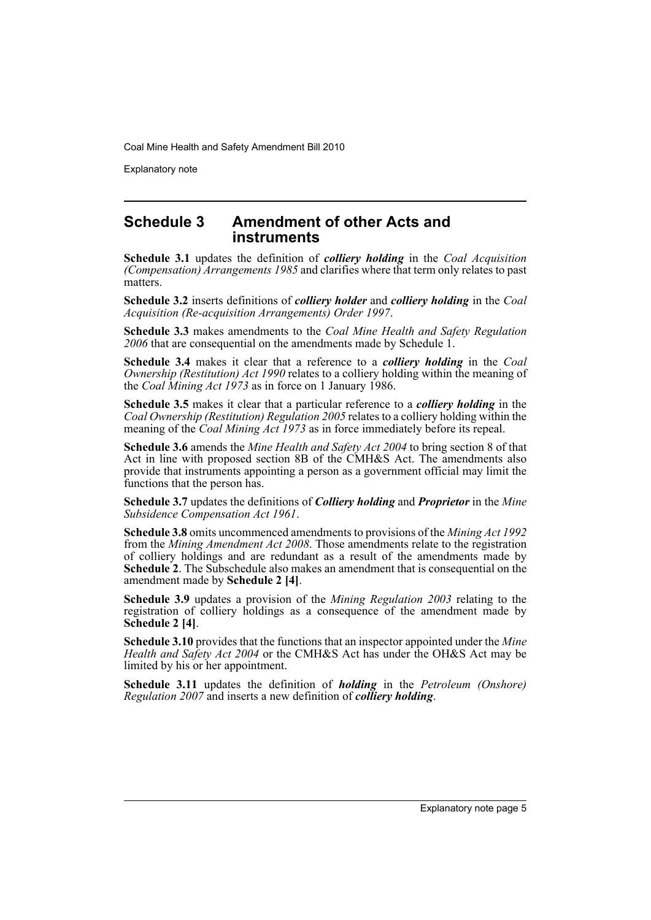Explanatory note

### **Schedule 3 Amendment of other Acts and instruments**

**Schedule 3.1** updates the definition of *colliery holding* in the *Coal Acquisition (Compensation) Arrangements 1985* and clarifies where that term only relates to past matters.

**Schedule 3.2** inserts definitions of *colliery holder* and *colliery holding* in the *Coal Acquisition (Re-acquisition Arrangements) Order 1997*.

**Schedule 3.3** makes amendments to the *Coal Mine Health and Safety Regulation 2006* that are consequential on the amendments made by Schedule 1.

**Schedule 3.4** makes it clear that a reference to a *colliery holding* in the *Coal Ownership (Restitution) Act 1990* relates to a colliery holding within the meaning of the *Coal Mining Act 1973* as in force on 1 January 1986.

**Schedule 3.5** makes it clear that a particular reference to a *colliery holding* in the *Coal Ownership (Restitution) Regulation 2005* relates to a colliery holding within the meaning of the *Coal Mining Act 1973* as in force immediately before its repeal.

**Schedule 3.6** amends the *Mine Health and Safety Act 2004* to bring section 8 of that Act in line with proposed section 8B of the CMH&S Act. The amendments also provide that instruments appointing a person as a government official may limit the functions that the person has.

**Schedule 3.7** updates the definitions of *Colliery holding* and *Proprietor* in the *Mine Subsidence Compensation Act 1961*.

**Schedule 3.8** omits uncommenced amendments to provisions of the *Mining Act 1992* from the *Mining Amendment Act 2008*. Those amendments relate to the registration of colliery holdings and are redundant as a result of the amendments made by **Schedule 2**. The Subschedule also makes an amendment that is consequential on the amendment made by **Schedule 2 [4]**.

**Schedule 3.9** updates a provision of the *Mining Regulation 2003* relating to the registration of colliery holdings as a consequence of the amendment made by **Schedule 2 [4]**.

**Schedule 3.10** provides that the functions that an inspector appointed under the *Mine Health and Safety Act 2004* or the CMH&S Act has under the OH&S Act may be limited by his or her appointment.

**Schedule 3.11** updates the definition of *holding* in the *Petroleum (Onshore) Regulation 2007* and inserts a new definition of *colliery holding*.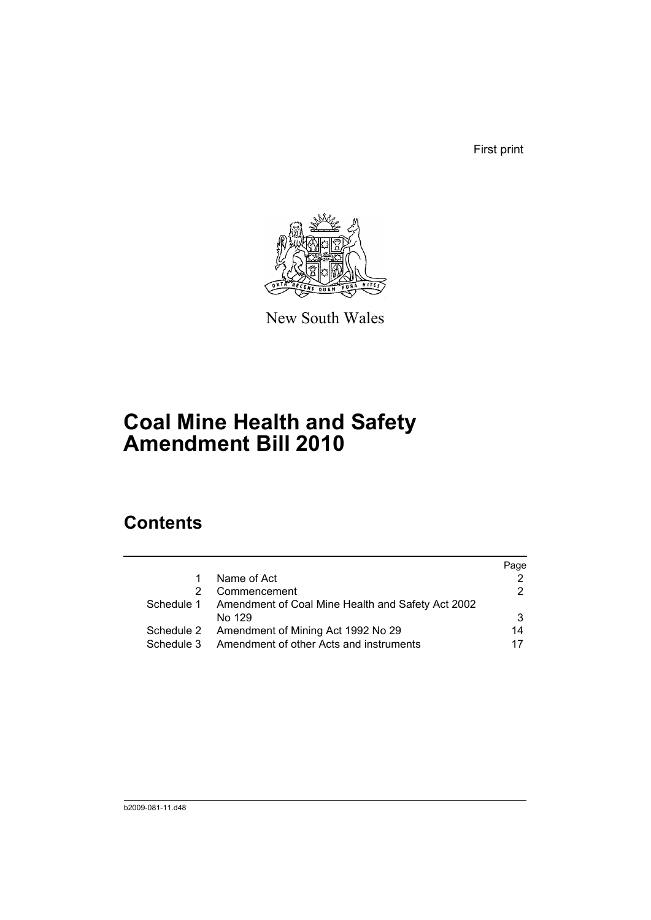First print



New South Wales

# **Coal Mine Health and Safety Amendment Bill 2010**

## **Contents**

|            |                                                              | Page |
|------------|--------------------------------------------------------------|------|
| 1.         | Name of Act                                                  |      |
| 2.         | Commencement                                                 |      |
|            | Schedule 1 Amendment of Coal Mine Health and Safety Act 2002 |      |
|            | No 129                                                       |      |
|            | Schedule 2 Amendment of Mining Act 1992 No 29                | 14   |
| Schedule 3 | Amendment of other Acts and instruments                      | 17   |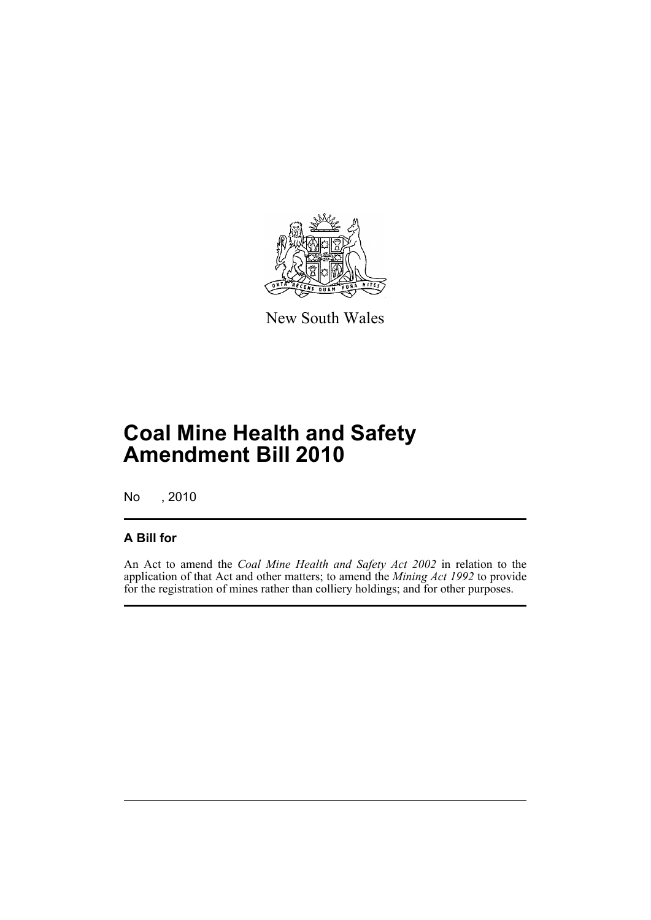

New South Wales

# **Coal Mine Health and Safety Amendment Bill 2010**

No , 2010

### **A Bill for**

An Act to amend the *Coal Mine Health and Safety Act 2002* in relation to the application of that Act and other matters; to amend the *Mining Act 1992* to provide for the registration of mines rather than colliery holdings; and for other purposes.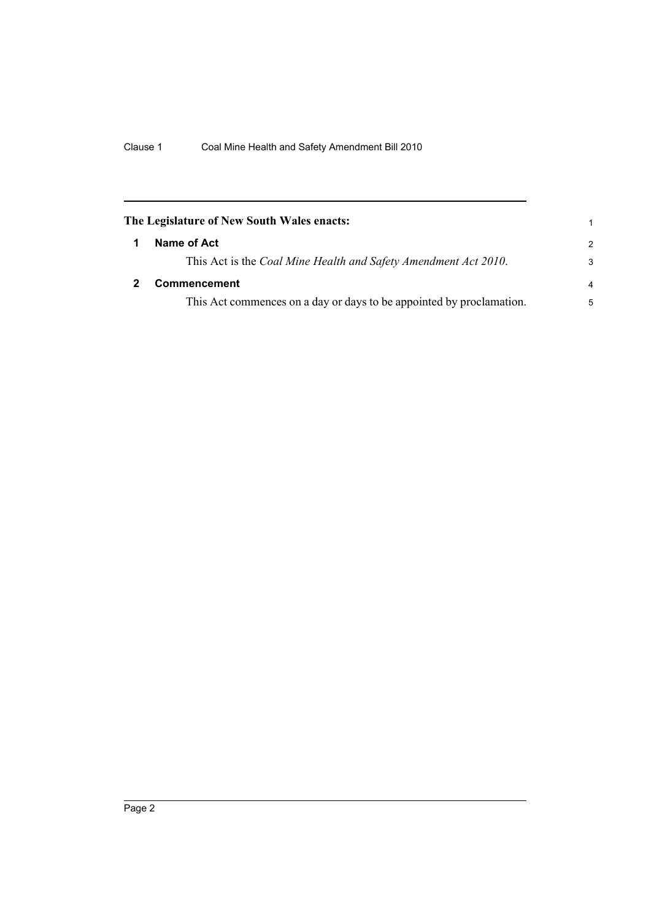<span id="page-9-1"></span><span id="page-9-0"></span>

| The Legislature of New South Wales enacts:                           |               |  |
|----------------------------------------------------------------------|---------------|--|
| Name of Act                                                          | $\mathcal{P}$ |  |
| This Act is the Coal Mine Health and Safety Amendment Act 2010.      | 3             |  |
| <b>Commencement</b>                                                  | 4             |  |
| This Act commences on a day or days to be appointed by proclamation. | 5             |  |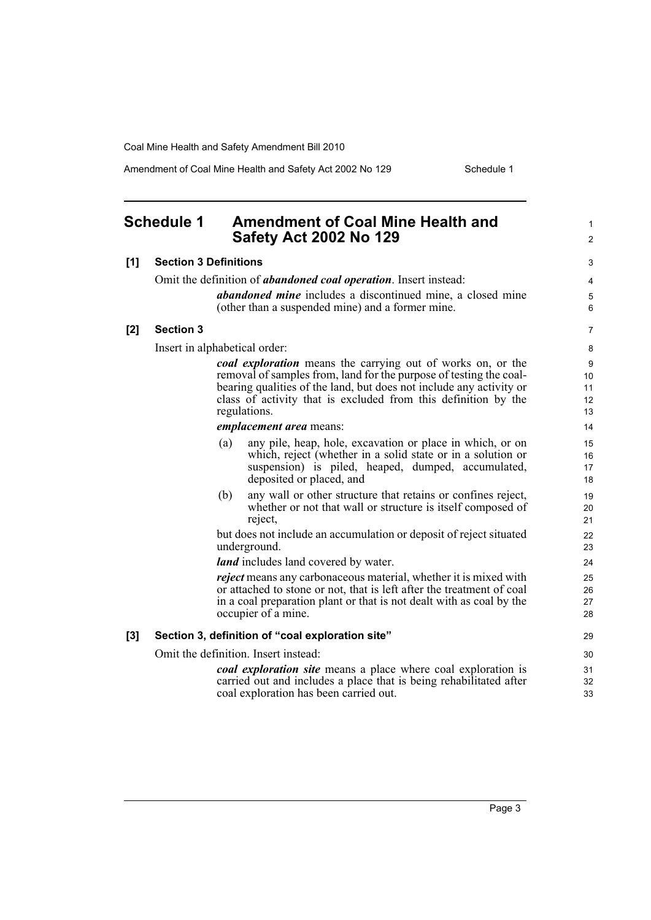Amendment of Coal Mine Health and Safety Act 2002 No 129 Schedule 1

1

## <span id="page-10-0"></span>**Schedule 1 Amendment of Coal Mine Health and Safety Act 2002 No 129**

|     | <b>Safety Act 2002 No 129</b>                                                                                                                                                                                                                                                              | $\overline{2}$            |
|-----|--------------------------------------------------------------------------------------------------------------------------------------------------------------------------------------------------------------------------------------------------------------------------------------------|---------------------------|
| [1] | <b>Section 3 Definitions</b>                                                                                                                                                                                                                                                               | 3                         |
|     | Omit the definition of <i>abandoned coal operation</i> . Insert instead:                                                                                                                                                                                                                   | 4                         |
|     | <i>abandoned mine</i> includes a discontinued mine, a closed mine<br>(other than a suspended mine) and a former mine.                                                                                                                                                                      | 5<br>6                    |
| [2] | <b>Section 3</b>                                                                                                                                                                                                                                                                           | 7                         |
|     | Insert in alphabetical order:                                                                                                                                                                                                                                                              | 8                         |
|     | coal exploration means the carrying out of works on, or the<br>removal of samples from, land for the purpose of testing the coal-<br>bearing qualities of the land, but does not include any activity or<br>class of activity that is excluded from this definition by the<br>regulations. | 9<br>10<br>11<br>12<br>13 |
|     | emplacement area means:                                                                                                                                                                                                                                                                    | 14                        |
|     | any pile, heap, hole, excavation or place in which, or on<br>(a)<br>which, reject (whether in a solid state or in a solution or<br>suspension) is piled, heaped, dumped, accumulated,<br>deposited or placed, and                                                                          | 15<br>16<br>17<br>18      |
|     | any wall or other structure that retains or confines reject,<br>(b)<br>whether or not that wall or structure is itself composed of<br>reject,                                                                                                                                              | 19<br>20<br>21            |
|     | but does not include an accumulation or deposit of reject situated<br>underground.<br><i>land</i> includes land covered by water.                                                                                                                                                          | 22<br>23<br>24            |
|     | <i>reject</i> means any carbonaceous material, whether it is mixed with<br>or attached to stone or not, that is left after the treatment of coal<br>in a coal preparation plant or that is not dealt with as coal by the<br>occupier of a mine.                                            | 25<br>26<br>27<br>28      |
| [3] | Section 3, definition of "coal exploration site"                                                                                                                                                                                                                                           | 29                        |
|     | Omit the definition. Insert instead:                                                                                                                                                                                                                                                       | 30                        |
|     | coal exploration site means a place where coal exploration is<br>carried out and includes a place that is being rehabilitated after<br>coal exploration has been carried out.                                                                                                              | 31<br>32<br>33            |
|     |                                                                                                                                                                                                                                                                                            |                           |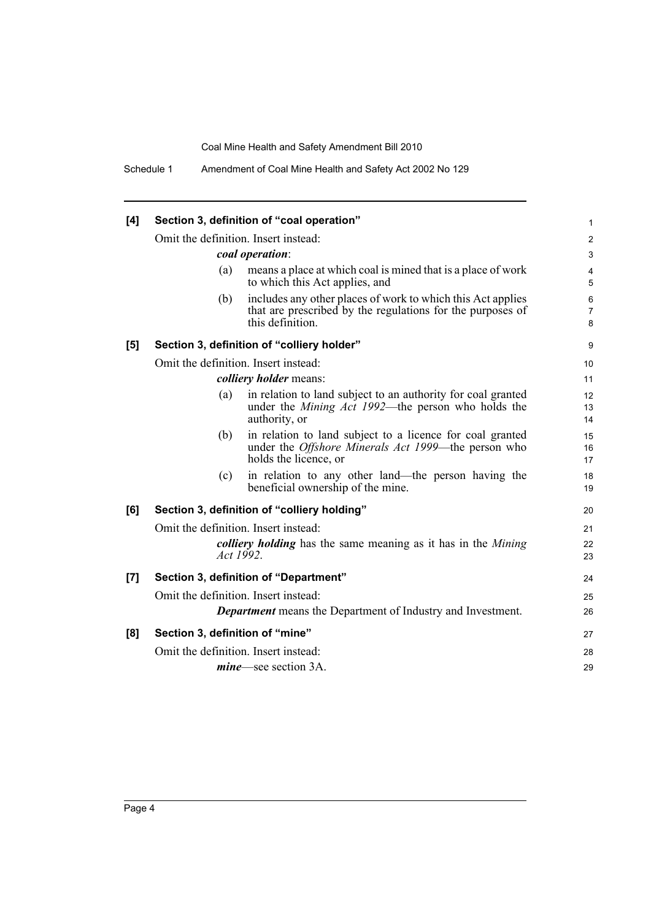| [4] |                                      | Section 3, definition of "coal operation"                                                                                                         | 1                                      |  |
|-----|--------------------------------------|---------------------------------------------------------------------------------------------------------------------------------------------------|----------------------------------------|--|
|     | Omit the definition. Insert instead: |                                                                                                                                                   | $\overline{c}$                         |  |
|     |                                      | coal operation:                                                                                                                                   | 3                                      |  |
|     | (a)                                  | means a place at which coal is mined that is a place of work<br>to which this Act applies, and                                                    | $\overline{4}$<br>5                    |  |
|     | (b)                                  | includes any other places of work to which this Act applies<br>that are prescribed by the regulations for the purposes of<br>this definition.     | $6\phantom{1}6$<br>$\overline{7}$<br>8 |  |
| [5] |                                      | Section 3, definition of "colliery holder"                                                                                                        | 9                                      |  |
|     | Omit the definition. Insert instead: |                                                                                                                                                   | 10                                     |  |
|     |                                      | <i>colliery holder means:</i>                                                                                                                     | 11                                     |  |
|     | (a)                                  | in relation to land subject to an authority for coal granted<br>under the Mining Act 1992—the person who holds the<br>authority, or               | 12<br>13<br>14                         |  |
|     | (b)                                  | in relation to land subject to a licence for coal granted<br>under the <i>Offshore Minerals Act 1999</i> —the person who<br>holds the licence, or | 15<br>16<br>17                         |  |
|     | (c)                                  | in relation to any other land—the person having the<br>beneficial ownership of the mine.                                                          | 18<br>19                               |  |
| [6] |                                      | Section 3, definition of "colliery holding"                                                                                                       | 20                                     |  |
|     | Omit the definition. Insert instead: |                                                                                                                                                   |                                        |  |
|     |                                      | colliery holding has the same meaning as it has in the Mining<br>Act 1992.                                                                        | 22<br>23                               |  |
| [7] |                                      | Section 3, definition of "Department"                                                                                                             | 24                                     |  |
|     | Omit the definition. Insert instead: |                                                                                                                                                   | 25                                     |  |
|     |                                      | <b>Department</b> means the Department of Industry and Investment.                                                                                | 26                                     |  |
| [8] | Section 3, definition of "mine"      |                                                                                                                                                   | 27                                     |  |
|     | Omit the definition. Insert instead: |                                                                                                                                                   | 28                                     |  |
|     |                                      | <i>mine</i> —see section 3A.                                                                                                                      | 29                                     |  |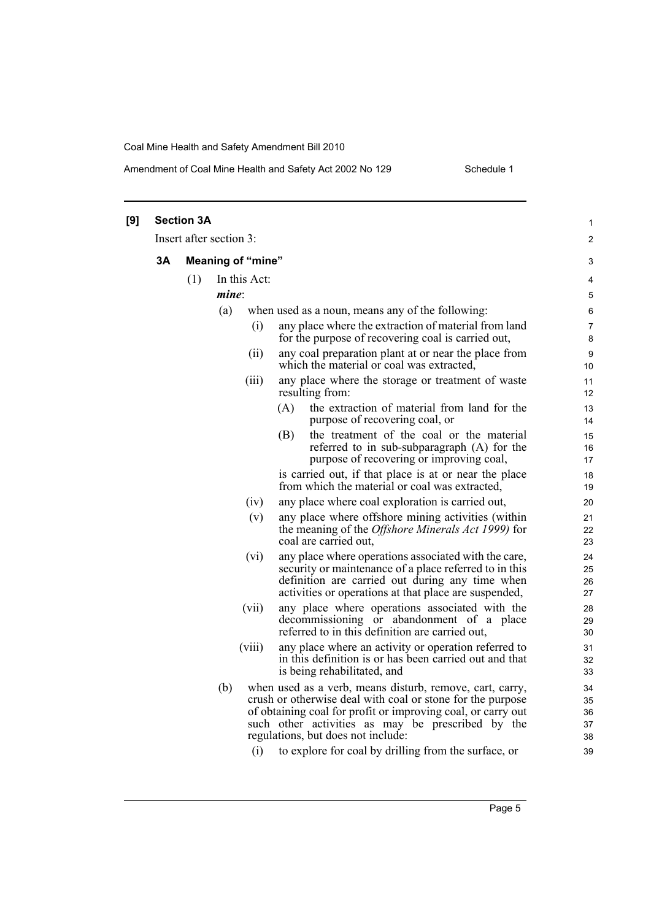### Amendment of Coal Mine Health and Safety Act 2002 No 129 Schedule 1

| [9] |    | <b>Section 3A</b>       |      |                          |                                                                                                                                                                                                                                                                                                                                           | $\mathbf{1}$                     |
|-----|----|-------------------------|------|--------------------------|-------------------------------------------------------------------------------------------------------------------------------------------------------------------------------------------------------------------------------------------------------------------------------------------------------------------------------------------|----------------------------------|
|     |    | Insert after section 3: |      |                          |                                                                                                                                                                                                                                                                                                                                           | $\overline{\mathbf{c}}$          |
|     | 3A |                         |      | <b>Meaning of "mine"</b> |                                                                                                                                                                                                                                                                                                                                           | 3                                |
|     |    | (1)                     |      | In this Act:             |                                                                                                                                                                                                                                                                                                                                           | 4                                |
|     |    |                         | mine |                          |                                                                                                                                                                                                                                                                                                                                           | 5                                |
|     |    |                         | (a)  |                          | when used as a noun, means any of the following:                                                                                                                                                                                                                                                                                          | 6                                |
|     |    |                         |      | (i)                      | any place where the extraction of material from land<br>for the purpose of recovering coal is carried out,                                                                                                                                                                                                                                | 7<br>8                           |
|     |    |                         |      | (ii)                     | any coal preparation plant at or near the place from<br>which the material or coal was extracted,                                                                                                                                                                                                                                         | 9<br>10                          |
|     |    |                         |      | (iii)                    | any place where the storage or treatment of waste<br>resulting from:                                                                                                                                                                                                                                                                      | 11<br>12                         |
|     |    |                         |      |                          | (A)<br>the extraction of material from land for the<br>purpose of recovering coal, or                                                                                                                                                                                                                                                     | 13<br>14                         |
|     |    |                         |      |                          | the treatment of the coal or the material<br>(B)<br>referred to in sub-subparagraph (A) for the<br>purpose of recovering or improving coal,                                                                                                                                                                                               | 15<br>16<br>17                   |
|     |    |                         |      |                          | is carried out, if that place is at or near the place<br>from which the material or coal was extracted,                                                                                                                                                                                                                                   | 18<br>19                         |
|     |    |                         |      | (iv)                     | any place where coal exploration is carried out,                                                                                                                                                                                                                                                                                          | 20                               |
|     |    |                         |      | (v)                      | any place where offshore mining activities (within<br>the meaning of the Offshore Minerals Act 1999) for<br>coal are carried out,                                                                                                                                                                                                         | 21<br>22<br>23                   |
|     |    |                         |      | (vi)                     | any place where operations associated with the care,<br>security or maintenance of a place referred to in this<br>definition are carried out during any time when<br>activities or operations at that place are suspended,                                                                                                                | 24<br>25<br>26<br>27             |
|     |    |                         |      | (vii)                    | any place where operations associated with the<br>decommissioning or abandonment of a place<br>referred to in this definition are carried out,                                                                                                                                                                                            | 28<br>29<br>30                   |
|     |    |                         |      | (viii)                   | any place where an activity or operation referred to<br>in this definition is or has been carried out and that<br>is being rehabilitated, and                                                                                                                                                                                             | 31<br>32<br>33                   |
|     |    |                         | (b)  | (i)                      | when used as a verb, means disturb, remove, cart, carry,<br>crush or otherwise deal with coal or stone for the purpose<br>of obtaining coal for profit or improving coal, or carry out<br>such other activities as may be prescribed by the<br>regulations, but does not include:<br>to explore for coal by drilling from the surface, or | 34<br>35<br>36<br>37<br>38<br>39 |
|     |    |                         |      |                          |                                                                                                                                                                                                                                                                                                                                           |                                  |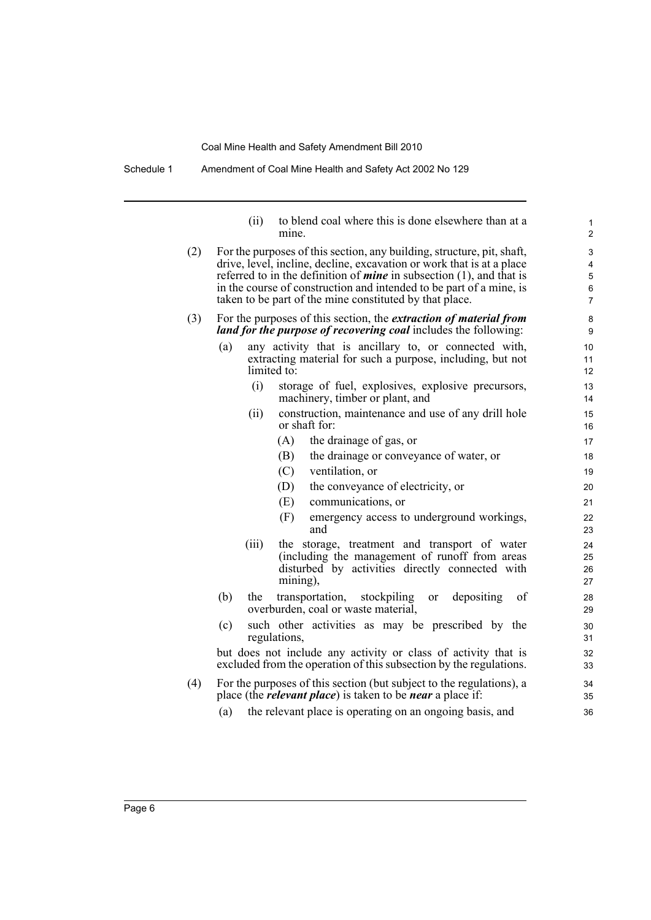Schedule 1 Amendment of Coal Mine Health and Safety Act 2002 No 129

(ii) to blend coal where this is done elsewhere than at a mine. (2) For the purposes of this section, any building, structure, pit, shaft, drive, level, incline, decline, excavation or work that is at a place referred to in the definition of *mine* in subsection (1), and that is in the course of construction and intended to be part of a mine, is taken to be part of the mine constituted by that place. (3) For the purposes of this section, the *extraction of material from land for the purpose of recovering coal* includes the following: (a) any activity that is ancillary to, or connected with, extracting material for such a purpose, including, but not limited to: (i) storage of fuel, explosives, explosive precursors, machinery, timber or plant, and (ii) construction, maintenance and use of any drill hole or shaft for: (A) the drainage of gas, or (B) the drainage or conveyance of water, or (C) ventilation, or (D) the conveyance of electricity, or (E) communications, or (F) emergency access to underground workings, and (iii) the storage, treatment and transport of water (including the management of runoff from areas disturbed by activities directly connected with mining), (b) the transportation, stockpiling or depositing of overburden, coal or waste material, (c) such other activities as may be prescribed by the regulations, but does not include any activity or class of activity that is excluded from the operation of this subsection by the regulations. (4) For the purposes of this section (but subject to the regulations), a place (the *relevant place*) is taken to be *near* a place if: (a) the relevant place is operating on an ongoing basis, and 1  $\overline{2}$ 3 4 5 6 7 8 9 10 11 12 13 14 15 16 17 18 19 20 21 22 23 24 25 26 27 28 29 30 31 32 33 34 35 36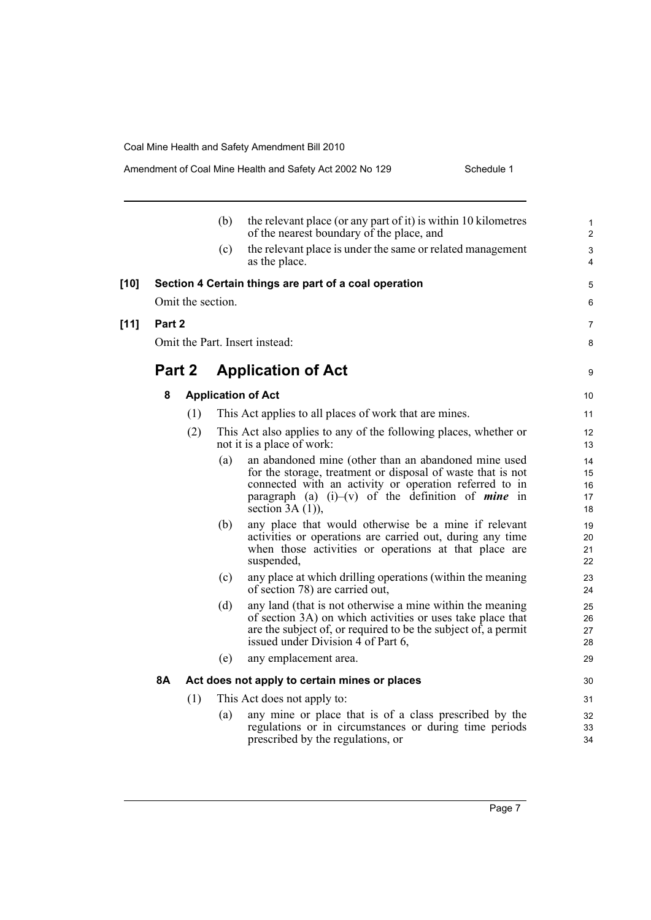|        |        |     |                   | Amendment of Coal Mine Health and Safety Act 2002 No 129<br>Scriedule i                                                                                                                                                                                             |                              |
|--------|--------|-----|-------------------|---------------------------------------------------------------------------------------------------------------------------------------------------------------------------------------------------------------------------------------------------------------------|------------------------------|
|        |        |     | (b)               | the relevant place (or any part of it) is within 10 kilometres<br>of the nearest boundary of the place, and                                                                                                                                                         | $\mathbf{1}$<br>$\mathbf{2}$ |
|        |        |     | (c)               | the relevant place is under the same or related management<br>as the place.                                                                                                                                                                                         | 3<br>4                       |
| $[10]$ |        |     |                   | Section 4 Certain things are part of a coal operation                                                                                                                                                                                                               | 5                            |
|        |        |     | Omit the section. |                                                                                                                                                                                                                                                                     | 6                            |
| $[11]$ | Part 2 |     |                   |                                                                                                                                                                                                                                                                     | 7                            |
|        |        |     |                   | Omit the Part. Insert instead:                                                                                                                                                                                                                                      | 8                            |
|        | Part 2 |     |                   | <b>Application of Act</b>                                                                                                                                                                                                                                           | 9                            |
|        | 8      |     |                   | <b>Application of Act</b>                                                                                                                                                                                                                                           | 10                           |
|        |        | (1) |                   | This Act applies to all places of work that are mines.                                                                                                                                                                                                              | 11                           |
|        |        | (2) |                   | This Act also applies to any of the following places, whether or<br>not it is a place of work:                                                                                                                                                                      | 12<br>13                     |
|        |        |     | (a)               | an abandoned mine (other than an abandoned mine used<br>for the storage, treatment or disposal of waste that is not<br>connected with an activity or operation referred to in<br>paragraph (a) $(i)$ –(v) of the definition of <i>mine</i> in<br>section $3A(1)$ ), | 14<br>15<br>16<br>17<br>18   |
|        |        |     | (b)               | any place that would otherwise be a mine if relevant<br>activities or operations are carried out, during any time<br>when those activities or operations at that place are<br>suspended,                                                                            | 19<br>20<br>21<br>22         |
|        |        |     | (c)               | any place at which drilling operations (within the meaning<br>of section 78) are carried out,                                                                                                                                                                       | 23<br>24                     |
|        |        |     | (d)               | any land (that is not otherwise a mine within the meaning<br>of section 3A) on which activities or uses take place that<br>are the subject of, or required to be the subject of, a permit<br>issued under Division $\hat{4}$ of Part 6,                             | 25<br>26<br>27<br>28         |
|        |        |     | (e)               | any emplacement area.                                                                                                                                                                                                                                               | 29                           |
|        | 8Α     |     |                   | Act does not apply to certain mines or places                                                                                                                                                                                                                       | 30                           |
|        |        | (1) |                   | This Act does not apply to:                                                                                                                                                                                                                                         | 31                           |
|        |        |     | (a)               | any mine or place that is of a class prescribed by the<br>regulations or in circumstances or during time periods<br>prescribed by the regulations, or                                                                                                               | 32<br>33<br>34               |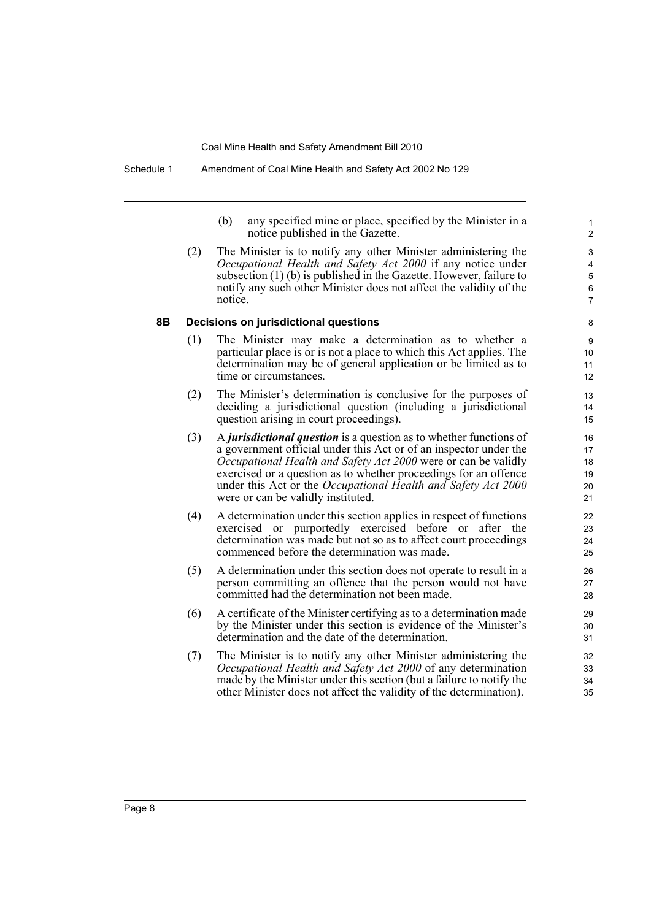(b) any specified mine or place, specified by the Minister in a notice published in the Gazette.

(2) The Minister is to notify any other Minister administering the *Occupational Health and Safety Act 2000* if any notice under subsection (1) (b) is published in the Gazette. However, failure to notify any such other Minister does not affect the validity of the notice.

#### **8B Decisions on jurisdictional questions**

- (1) The Minister may make a determination as to whether a particular place is or is not a place to which this Act applies. The determination may be of general application or be limited as to time or circumstances.
- (2) The Minister's determination is conclusive for the purposes of deciding a jurisdictional question (including a jurisdictional question arising in court proceedings).
- (3) A *jurisdictional question* is a question as to whether functions of a government official under this Act or of an inspector under the *Occupational Health and Safety Act 2000* were or can be validly exercised or a question as to whether proceedings for an offence under this Act or the *Occupational Health and Safety Act 2000* were or can be validly instituted.
- (4) A determination under this section applies in respect of functions exercised or purportedly exercised before or after the determination was made but not so as to affect court proceedings commenced before the determination was made.
- (5) A determination under this section does not operate to result in a person committing an offence that the person would not have committed had the determination not been made.
- (6) A certificate of the Minister certifying as to a determination made by the Minister under this section is evidence of the Minister's determination and the date of the determination.
- (7) The Minister is to notify any other Minister administering the *Occupational Health and Safety Act 2000* of any determination made by the Minister under this section (but a failure to notify the other Minister does not affect the validity of the determination).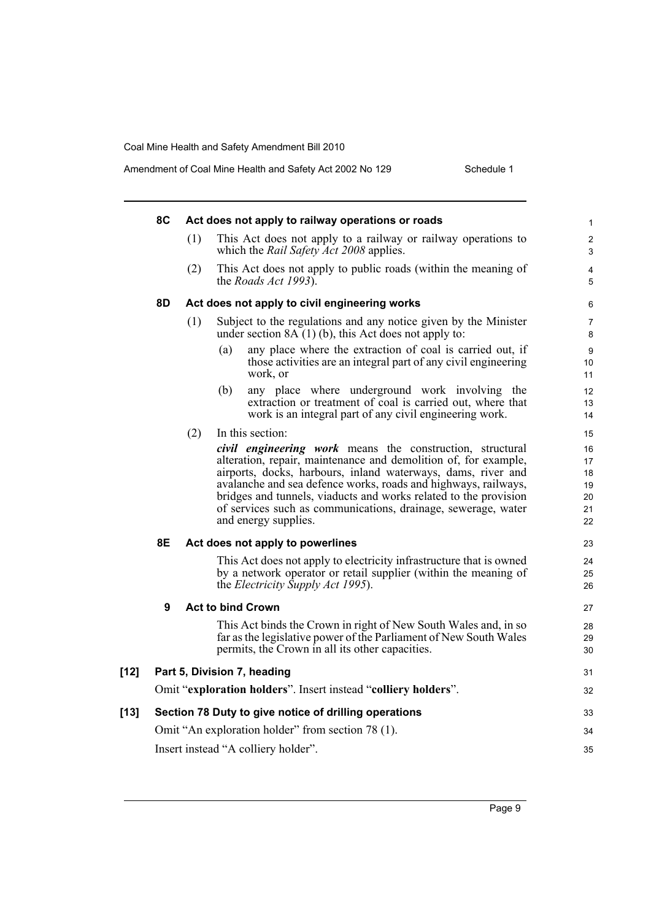|      | 8C               |                                                                                                                                  |     | Act does not apply to railway operations or roads                                                                                                                                                                                                                                                                                                                                                                           | $\mathbf{1}$                           |  |  |
|------|------------------|----------------------------------------------------------------------------------------------------------------------------------|-----|-----------------------------------------------------------------------------------------------------------------------------------------------------------------------------------------------------------------------------------------------------------------------------------------------------------------------------------------------------------------------------------------------------------------------------|----------------------------------------|--|--|
|      |                  | (1)                                                                                                                              |     | This Act does not apply to a railway or railway operations to<br>which the <i>Rail Safety Act 2008</i> applies.                                                                                                                                                                                                                                                                                                             | $\overline{2}$<br>3                    |  |  |
|      |                  | (2)                                                                                                                              |     | This Act does not apply to public roads (within the meaning of<br>the <i>Roads Act 1993</i> ).                                                                                                                                                                                                                                                                                                                              | 4<br>5                                 |  |  |
|      | 8D               | Act does not apply to civil engineering works                                                                                    |     |                                                                                                                                                                                                                                                                                                                                                                                                                             | 6                                      |  |  |
|      |                  | (1)<br>Subject to the regulations and any notice given by the Minister<br>under section $8A(1)$ (b), this Act does not apply to: |     |                                                                                                                                                                                                                                                                                                                                                                                                                             |                                        |  |  |
|      |                  |                                                                                                                                  | (a) | any place where the extraction of coal is carried out, if<br>those activities are an integral part of any civil engineering<br>work, or                                                                                                                                                                                                                                                                                     | 9<br>10<br>11                          |  |  |
|      |                  |                                                                                                                                  | (b) | any place where underground work involving the<br>extraction or treatment of coal is carried out, where that<br>work is an integral part of any civil engineering work.                                                                                                                                                                                                                                                     | 12<br>13<br>14                         |  |  |
|      |                  | (2)                                                                                                                              |     | In this section:                                                                                                                                                                                                                                                                                                                                                                                                            | 15                                     |  |  |
|      |                  |                                                                                                                                  |     | civil engineering work means the construction, structural<br>alteration, repair, maintenance and demolition of, for example,<br>airports, docks, harbours, inland waterways, dams, river and<br>avalanche and sea defence works, roads and highways, railways,<br>bridges and tunnels, viaducts and works related to the provision<br>of services such as communications, drainage, sewerage, water<br>and energy supplies. | 16<br>17<br>18<br>19<br>20<br>21<br>22 |  |  |
|      | 8Ε               |                                                                                                                                  |     | Act does not apply to powerlines                                                                                                                                                                                                                                                                                                                                                                                            | 23                                     |  |  |
|      |                  |                                                                                                                                  |     | This Act does not apply to electricity infrastructure that is owned<br>by a network operator or retail supplier (within the meaning of<br>the <i>Electricity Supply Act 1995</i> ).                                                                                                                                                                                                                                         | 24<br>25<br>26                         |  |  |
|      | $\boldsymbol{9}$ |                                                                                                                                  |     | <b>Act to bind Crown</b>                                                                                                                                                                                                                                                                                                                                                                                                    | 27                                     |  |  |
|      |                  |                                                                                                                                  |     | This Act binds the Crown in right of New South Wales and, in so<br>far as the legislative power of the Parliament of New South Wales<br>permits, the Crown in all its other capacities.                                                                                                                                                                                                                                     | 28<br>29<br>30                         |  |  |
| [12] |                  |                                                                                                                                  |     | Part 5, Division 7, heading                                                                                                                                                                                                                                                                                                                                                                                                 | 31                                     |  |  |
|      |                  |                                                                                                                                  |     | Omit "exploration holders". Insert instead "colliery holders".                                                                                                                                                                                                                                                                                                                                                              | 32                                     |  |  |
| [13] |                  |                                                                                                                                  |     | Section 78 Duty to give notice of drilling operations                                                                                                                                                                                                                                                                                                                                                                       | 33                                     |  |  |
|      |                  |                                                                                                                                  |     | Omit "An exploration holder" from section 78 (1).                                                                                                                                                                                                                                                                                                                                                                           | 34                                     |  |  |
|      |                  |                                                                                                                                  |     | Insert instead "A colliery holder".                                                                                                                                                                                                                                                                                                                                                                                         | 35                                     |  |  |
|      |                  |                                                                                                                                  |     |                                                                                                                                                                                                                                                                                                                                                                                                                             |                                        |  |  |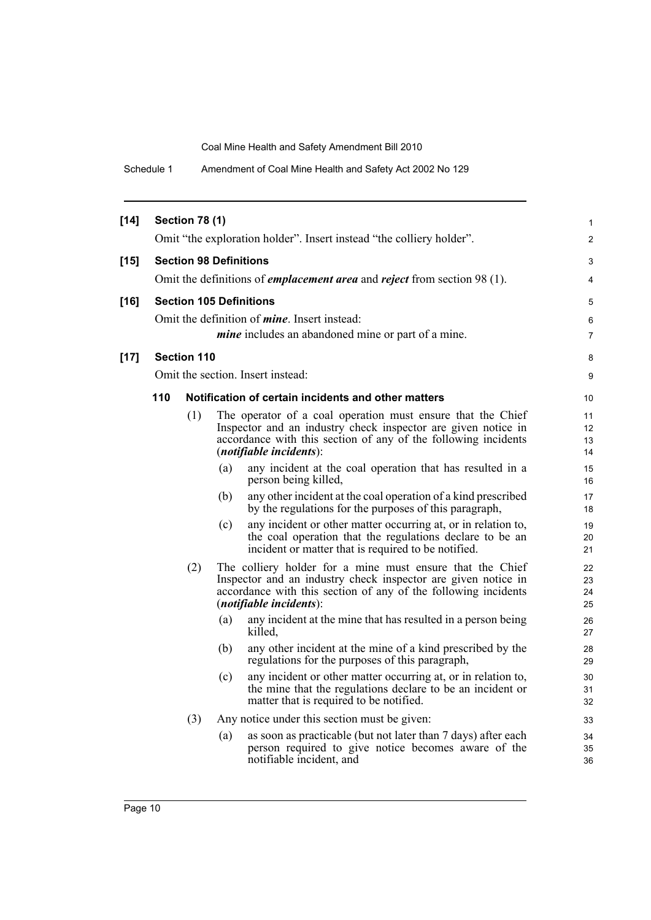Schedule 1 Amendment of Coal Mine Health and Safety Act 2002 No 129

| $[14]$ |                                | <b>Section 78 (1)</b>         |     |                                                                                                                                                                                                                              | $\mathbf{1}$         |  |
|--------|--------------------------------|-------------------------------|-----|------------------------------------------------------------------------------------------------------------------------------------------------------------------------------------------------------------------------------|----------------------|--|
|        |                                |                               |     | Omit "the exploration holder". Insert instead "the colliery holder".                                                                                                                                                         | 2                    |  |
| $[15]$ |                                | <b>Section 98 Definitions</b> |     |                                                                                                                                                                                                                              | 3                    |  |
|        |                                |                               |     | Omit the definitions of <i>emplacement area</i> and <i>reject</i> from section 98 (1).                                                                                                                                       | 4                    |  |
| $[16]$ | <b>Section 105 Definitions</b> |                               |     |                                                                                                                                                                                                                              |                      |  |
|        |                                |                               |     | Omit the definition of <i>mine</i> . Insert instead:                                                                                                                                                                         | 6                    |  |
|        |                                |                               |     | <i>mine</i> includes an abandoned mine or part of a mine.                                                                                                                                                                    | $\overline{7}$       |  |
| $[17]$ |                                | <b>Section 110</b>            |     |                                                                                                                                                                                                                              | 8                    |  |
|        |                                |                               |     | Omit the section. Insert instead:                                                                                                                                                                                            | 9                    |  |
|        | 110                            |                               |     | Notification of certain incidents and other matters                                                                                                                                                                          | 10                   |  |
|        |                                | (1)                           |     | The operator of a coal operation must ensure that the Chief<br>Inspector and an industry check inspector are given notice in<br>accordance with this section of any of the following incidents<br>$(notifiable\,$            | 11<br>12<br>13<br>14 |  |
|        |                                |                               | (a) | any incident at the coal operation that has resulted in a<br>person being killed,                                                                                                                                            | 15<br>16             |  |
|        |                                |                               | (b) | any other incident at the coal operation of a kind prescribed<br>by the regulations for the purposes of this paragraph,                                                                                                      | 17<br>18             |  |
|        |                                |                               | (c) | any incident or other matter occurring at, or in relation to,<br>the coal operation that the regulations declare to be an<br>incident or matter that is required to be notified.                                             | 19<br>20<br>21       |  |
|        |                                | (2)                           |     | The colliery holder for a mine must ensure that the Chief<br>Inspector and an industry check inspector are given notice in<br>accordance with this section of any of the following incidents<br>$(notifiable$ incidents $):$ | 22<br>23<br>24<br>25 |  |
|        |                                |                               | (a) | any incident at the mine that has resulted in a person being<br>killed.                                                                                                                                                      | 26<br>27             |  |
|        |                                |                               | (b) | any other incident at the mine of a kind prescribed by the<br>regulations for the purposes of this paragraph,                                                                                                                | 28<br>29             |  |
|        |                                |                               | (c) | any incident or other matter occurring at, or in relation to,<br>the mine that the regulations declare to be an incident or<br>matter that is required to be notified.                                                       | 30<br>31<br>32       |  |
|        |                                | (3)                           |     | Any notice under this section must be given:                                                                                                                                                                                 | 33                   |  |
|        |                                |                               | (a) | as soon as practicable (but not later than 7 days) after each<br>person required to give notice becomes aware of the<br>notifiable incident, and                                                                             | 34<br>35<br>36       |  |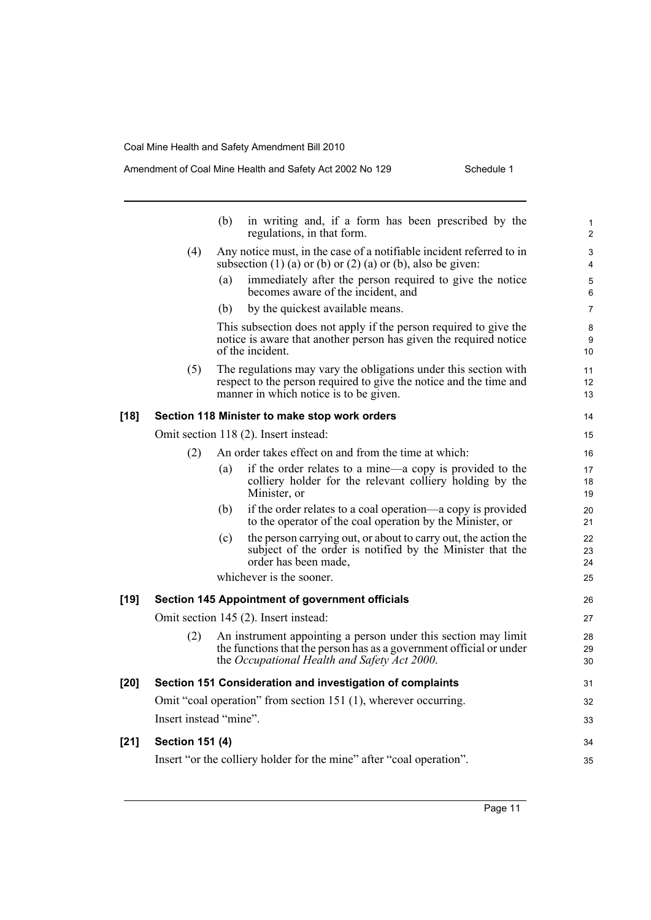$[21]$ 

### Amendment of Coal Mine Health and Safety Act 2002 No 129 Schedule 1

|        |                        | (b) | in writing and, if a form has been prescribed by the<br>regulations, in that form.                                                                                                    | 1<br>$\overline{2}$         |
|--------|------------------------|-----|---------------------------------------------------------------------------------------------------------------------------------------------------------------------------------------|-----------------------------|
|        | (4)                    |     | Any notice must, in the case of a notifiable incident referred to in<br>subsection $(1)$ (a) or $(b)$ or $(2)$ (a) or $(b)$ , also be given:                                          | 3<br>$\overline{4}$         |
|        |                        | (a) | immediately after the person required to give the notice<br>becomes aware of the incident, and                                                                                        | 5<br>6                      |
|        |                        | (b) | by the quickest available means.                                                                                                                                                      | $\overline{7}$              |
|        |                        |     | This subsection does not apply if the person required to give the<br>notice is aware that another person has given the required notice<br>of the incident.                            | 8<br>9<br>10                |
|        | (5)                    |     | The regulations may vary the obligations under this section with<br>respect to the person required to give the notice and the time and<br>manner in which notice is to be given.      | 11<br>12 <sup>2</sup><br>13 |
| $[18]$ |                        |     | Section 118 Minister to make stop work orders                                                                                                                                         | 14                          |
|        |                        |     | Omit section 118 (2). Insert instead:                                                                                                                                                 | 15                          |
|        | (2)                    |     | An order takes effect on and from the time at which:                                                                                                                                  | 16                          |
|        |                        | (a) | if the order relates to a mine—a copy is provided to the<br>colliery holder for the relevant colliery holding by the<br>Minister, or                                                  | 17<br>18<br>19              |
|        |                        | (b) | if the order relates to a coal operation—a copy is provided<br>to the operator of the coal operation by the Minister, or                                                              | 20<br>21                    |
|        |                        | (c) | the person carrying out, or about to carry out, the action the<br>subject of the order is notified by the Minister that the<br>order has been made,                                   | 22<br>23<br>24              |
|        |                        |     | whichever is the sooner.                                                                                                                                                              | 25                          |
| [19]   |                        |     | <b>Section 145 Appointment of government officials</b>                                                                                                                                | 26                          |
|        |                        |     | Omit section 145 (2). Insert instead:                                                                                                                                                 | 27                          |
|        | (2)                    |     | An instrument appointing a person under this section may limit<br>the functions that the person has as a government official or under<br>the Occupational Health and Safety Act 2000. | 28<br>29<br>30              |
| $[20]$ |                        |     | Section 151 Consideration and investigation of complaints                                                                                                                             | 31                          |
|        |                        |     | Omit "coal operation" from section 151 (1), wherever occurring.                                                                                                                       | 32                          |
|        | Insert instead "mine". |     |                                                                                                                                                                                       | 33                          |
| $[21]$ | <b>Section 151 (4)</b> |     |                                                                                                                                                                                       | 34                          |
|        |                        |     | Insert "or the colliery holder for the mine" after "coal operation".                                                                                                                  | 35                          |
|        |                        |     |                                                                                                                                                                                       |                             |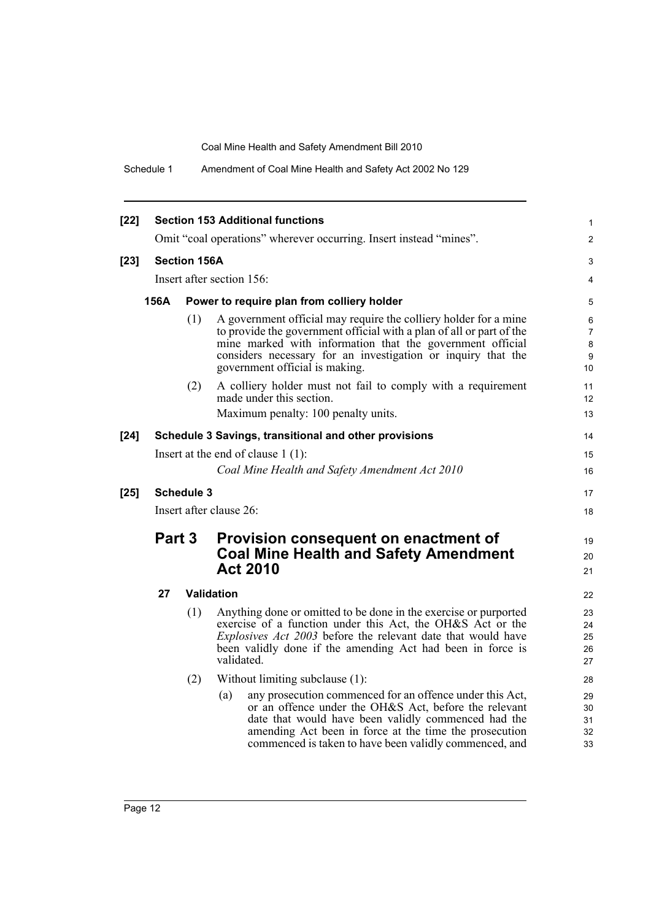Schedule 1 Amendment of Coal Mine Health and Safety Act 2002 No 129

| $[22]$ | <b>Section 153 Additional functions</b>            |                                                                                                                   |                                                                                                                                                                                                                                                                                                         |                                                                                                                                                                                                                                                                                                     |                            |  |  |
|--------|----------------------------------------------------|-------------------------------------------------------------------------------------------------------------------|---------------------------------------------------------------------------------------------------------------------------------------------------------------------------------------------------------------------------------------------------------------------------------------------------------|-----------------------------------------------------------------------------------------------------------------------------------------------------------------------------------------------------------------------------------------------------------------------------------------------------|----------------------------|--|--|
|        |                                                    |                                                                                                                   | Omit "coal operations" wherever occurring. Insert instead "mines".                                                                                                                                                                                                                                      | $\overline{2}$                                                                                                                                                                                                                                                                                      |                            |  |  |
| $[23]$ |                                                    | <b>Section 156A</b>                                                                                               |                                                                                                                                                                                                                                                                                                         | 3                                                                                                                                                                                                                                                                                                   |                            |  |  |
|        |                                                    | Insert after section 156:                                                                                         |                                                                                                                                                                                                                                                                                                         |                                                                                                                                                                                                                                                                                                     |                            |  |  |
|        | 156A<br>Power to require plan from colliery holder |                                                                                                                   |                                                                                                                                                                                                                                                                                                         |                                                                                                                                                                                                                                                                                                     |                            |  |  |
|        |                                                    | (1)                                                                                                               | A government official may require the colliery holder for a mine<br>to provide the government official with a plan of all or part of the<br>mine marked with information that the government official<br>considers necessary for an investigation or inquiry that the<br>government official is making. | 6<br>7<br>8<br>9<br>10 <sup>°</sup>                                                                                                                                                                                                                                                                 |                            |  |  |
|        |                                                    | (2)                                                                                                               | A colliery holder must not fail to comply with a requirement<br>made under this section.<br>Maximum penalty: 100 penalty units.                                                                                                                                                                         | 11<br>12 <sup>2</sup><br>13                                                                                                                                                                                                                                                                         |                            |  |  |
| $[24]$ |                                                    |                                                                                                                   | Schedule 3 Savings, transitional and other provisions                                                                                                                                                                                                                                                   | 14                                                                                                                                                                                                                                                                                                  |                            |  |  |
|        | Insert at the end of clause $1(1)$ :               |                                                                                                                   |                                                                                                                                                                                                                                                                                                         |                                                                                                                                                                                                                                                                                                     |                            |  |  |
|        |                                                    |                                                                                                                   | Coal Mine Health and Safety Amendment Act 2010                                                                                                                                                                                                                                                          | 16                                                                                                                                                                                                                                                                                                  |                            |  |  |
| $[25]$ |                                                    | <b>Schedule 3</b>                                                                                                 |                                                                                                                                                                                                                                                                                                         | 17                                                                                                                                                                                                                                                                                                  |                            |  |  |
|        |                                                    |                                                                                                                   | Insert after clause 26:                                                                                                                                                                                                                                                                                 | 18                                                                                                                                                                                                                                                                                                  |                            |  |  |
|        |                                                    | Part 3<br>Provision consequent on enactment of<br><b>Coal Mine Health and Safety Amendment</b><br><b>Act 2010</b> |                                                                                                                                                                                                                                                                                                         |                                                                                                                                                                                                                                                                                                     |                            |  |  |
|        | 27                                                 |                                                                                                                   | <b>Validation</b>                                                                                                                                                                                                                                                                                       | 22                                                                                                                                                                                                                                                                                                  |                            |  |  |
|        |                                                    | (1)                                                                                                               | Anything done or omitted to be done in the exercise or purported<br>exercise of a function under this Act, the OH&S Act or the<br><i>Explosives Act 2003</i> before the relevant date that would have<br>been validly done if the amending Act had been in force is<br>validated.                       | 23<br>24<br>25<br>26<br>27                                                                                                                                                                                                                                                                          |                            |  |  |
|        |                                                    | (2)                                                                                                               | Without limiting subclause (1):                                                                                                                                                                                                                                                                         | 28                                                                                                                                                                                                                                                                                                  |                            |  |  |
|        |                                                    |                                                                                                                   |                                                                                                                                                                                                                                                                                                         | any prosecution commenced for an offence under this Act,<br>(a)<br>or an offence under the OH&S Act, before the relevant<br>date that would have been validly commenced had the<br>amending Act been in force at the time the prosecution<br>commenced is taken to have been validly commenced, and | 29<br>30<br>31<br>32<br>33 |  |  |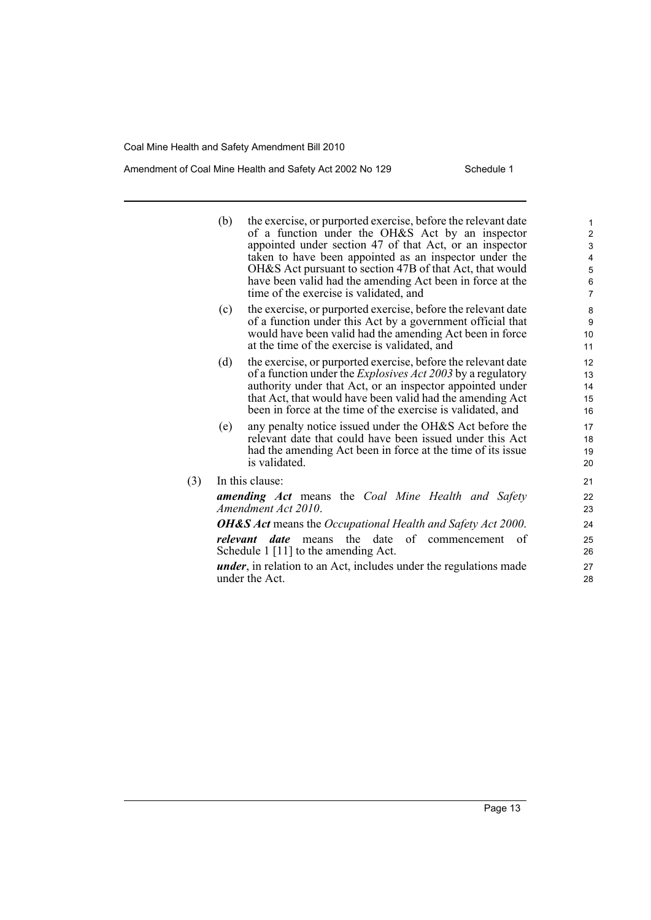$(3)$ 

### Amendment of Coal Mine Health and Safety Act 2002 No 129 Schedule 1

| (b)      | the exercise, or purported exercise, before the relevant date<br>of a function under the OH&S Act by an inspector<br>appointed under section 47 of that Act, or an inspector<br>taken to have been appointed as an inspector under the                                                                                       | $\mathbf{1}$<br>$\overline{2}$<br>3<br>4 |
|----------|------------------------------------------------------------------------------------------------------------------------------------------------------------------------------------------------------------------------------------------------------------------------------------------------------------------------------|------------------------------------------|
|          | OH&S Act pursuant to section 47B of that Act, that would<br>have been valid had the amending Act been in force at the<br>time of the exercise is validated, and                                                                                                                                                              | $\mathbf 5$<br>6<br>$\overline{7}$       |
| (c)      | the exercise, or purported exercise, before the relevant date<br>of a function under this Act by a government official that<br>would have been valid had the amending Act been in force<br>at the time of the exercise is validated, and                                                                                     | 8<br>9<br>10<br>11                       |
| (d)      | the exercise, or purported exercise, before the relevant date<br>of a function under the <i>Explosives Act 2003</i> by a regulatory<br>authority under that Act, or an inspector appointed under<br>that Act, that would have been valid had the amending Act<br>been in force at the time of the exercise is validated, and | 12<br>13<br>14<br>15<br>16               |
| (e)      | any penalty notice issued under the OH&S Act before the<br>relevant date that could have been issued under this Act<br>had the amending Act been in force at the time of its issue<br>is validated.                                                                                                                          | 17<br>18<br>19<br>20                     |
|          | In this clause:                                                                                                                                                                                                                                                                                                              | 21                                       |
|          | <b>amending Act</b> means the Coal Mine Health and Safety<br>Amendment Act 2010.                                                                                                                                                                                                                                             | 22<br>23                                 |
|          | <b>OH&amp;S</b> Act means the Occupational Health and Safety Act 2000.                                                                                                                                                                                                                                                       | 24                                       |
| relevant | of commencement of<br>means the date<br>date<br>Schedule 1 [11] to the amending Act.                                                                                                                                                                                                                                         | 25<br>26                                 |
|          | <i>under</i> , in relation to an Act, includes under the regulations made<br>under the Act.                                                                                                                                                                                                                                  | 27<br>28                                 |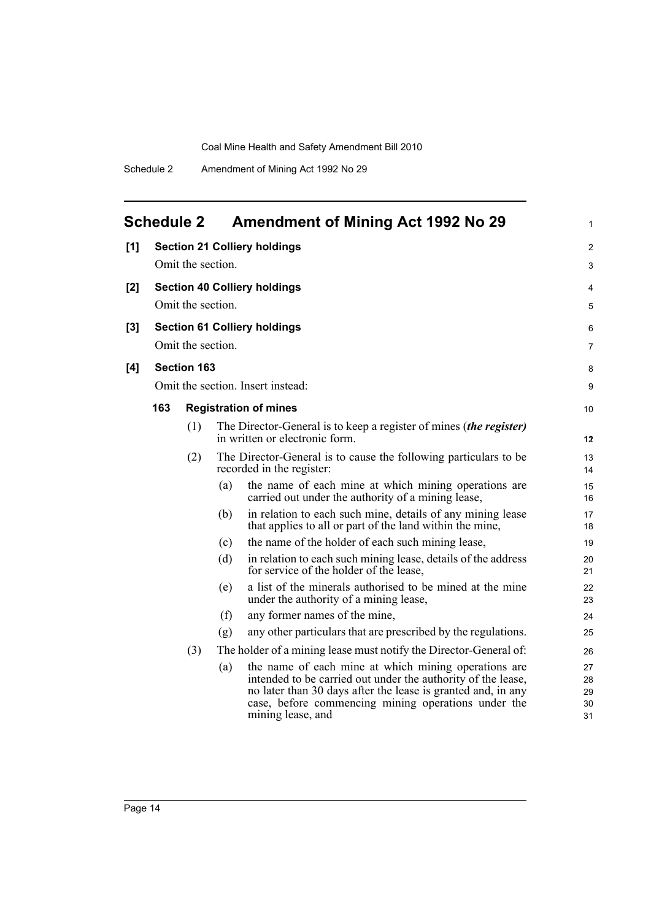<span id="page-21-0"></span>

|       | <b>Schedule 2</b> |                    |     | <b>Amendment of Mining Act 1992 No 29</b>                                                                                                                                                                                                                        | 1                          |
|-------|-------------------|--------------------|-----|------------------------------------------------------------------------------------------------------------------------------------------------------------------------------------------------------------------------------------------------------------------|----------------------------|
| [1]   |                   |                    |     | <b>Section 21 Colliery holdings</b>                                                                                                                                                                                                                              | 2                          |
|       |                   | Omit the section.  |     |                                                                                                                                                                                                                                                                  | 3                          |
| $[2]$ |                   |                    |     | <b>Section 40 Colliery holdings</b>                                                                                                                                                                                                                              | 4                          |
|       |                   | Omit the section.  |     |                                                                                                                                                                                                                                                                  | 5                          |
| $[3]$ |                   |                    |     | <b>Section 61 Colliery holdings</b>                                                                                                                                                                                                                              | 6                          |
|       |                   | Omit the section.  |     |                                                                                                                                                                                                                                                                  | 7                          |
| [4]   |                   | <b>Section 163</b> |     |                                                                                                                                                                                                                                                                  | 8                          |
|       |                   |                    |     | Omit the section. Insert instead:                                                                                                                                                                                                                                | 9                          |
|       | 163               |                    |     | <b>Registration of mines</b>                                                                                                                                                                                                                                     | 10                         |
|       |                   | (1)                |     | The Director-General is to keep a register of mines <i>(the register)</i><br>in written or electronic form.                                                                                                                                                      | 12                         |
|       |                   | (2)                |     | The Director-General is to cause the following particulars to be<br>recorded in the register:                                                                                                                                                                    | 13<br>14                   |
|       |                   |                    | (a) | the name of each mine at which mining operations are<br>carried out under the authority of a mining lease,                                                                                                                                                       | 15<br>16                   |
|       |                   |                    | (b) | in relation to each such mine, details of any mining lease<br>that applies to all or part of the land within the mine,                                                                                                                                           | 17<br>18                   |
|       |                   |                    | (c) | the name of the holder of each such mining lease,                                                                                                                                                                                                                | 19                         |
|       |                   |                    | (d) | in relation to each such mining lease, details of the address<br>for service of the holder of the lease,                                                                                                                                                         | 20<br>21                   |
|       |                   |                    | (e) | a list of the minerals authorised to be mined at the mine<br>under the authority of a mining lease,                                                                                                                                                              | 22<br>23                   |
|       |                   |                    | (f) | any former names of the mine,                                                                                                                                                                                                                                    | 24                         |
|       |                   |                    | (g) | any other particulars that are prescribed by the regulations.                                                                                                                                                                                                    | 25                         |
|       |                   | (3)                |     | The holder of a mining lease must notify the Director-General of:                                                                                                                                                                                                | 26                         |
|       |                   |                    | (a) | the name of each mine at which mining operations are<br>intended to be carried out under the authority of the lease,<br>no later than 30 days after the lease is granted and, in any<br>case, before commencing mining operations under the<br>mining lease, and | 27<br>28<br>29<br>30<br>31 |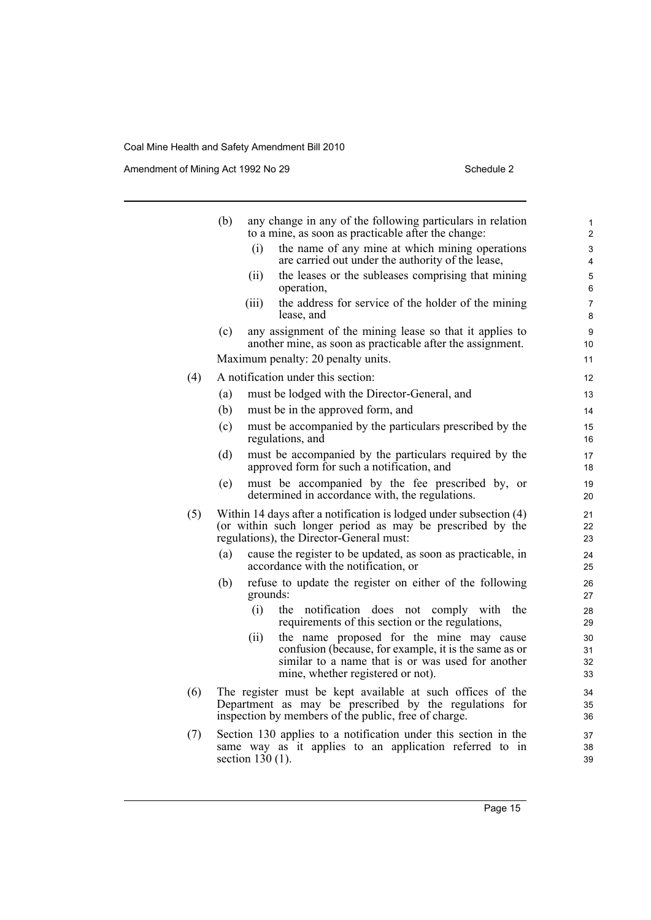Amendment of Mining Act 1992 No 29 Schedule 2

|     | (b) |                    | any change in any of the following particulars in relation<br>to a mine, as soon as practicable after the change:                                                                           | 1<br>$\mathbf 2$     |
|-----|-----|--------------------|---------------------------------------------------------------------------------------------------------------------------------------------------------------------------------------------|----------------------|
|     |     | (i)                | the name of any mine at which mining operations<br>are carried out under the authority of the lease,                                                                                        | 3<br>4               |
|     |     | (i)                | the leases or the subleases comprising that mining<br>operation,                                                                                                                            | 5<br>6               |
|     |     | (iii)              | the address for service of the holder of the mining<br>lease, and                                                                                                                           | 7<br>8               |
|     | (c) |                    | any assignment of the mining lease so that it applies to<br>another mine, as soon as practicable after the assignment.                                                                      | 9<br>10              |
|     |     |                    | Maximum penalty: 20 penalty units.                                                                                                                                                          | 11                   |
| (4) |     |                    | A notification under this section:                                                                                                                                                          | 12                   |
|     | (a) |                    | must be lodged with the Director-General, and                                                                                                                                               | 13                   |
|     | (b) |                    | must be in the approved form, and                                                                                                                                                           | 14                   |
|     | (c) |                    | must be accompanied by the particulars prescribed by the<br>regulations, and                                                                                                                | 15<br>16             |
|     | (d) |                    | must be accompanied by the particulars required by the<br>approved form for such a notification, and                                                                                        | 17<br>18             |
|     | (e) |                    | must be accompanied by the fee prescribed by, or<br>determined in accordance with, the regulations.                                                                                         | 19<br>20             |
| (5) |     |                    | Within 14 days after a notification is lodged under subsection (4)<br>(or within such longer period as may be prescribed by the<br>regulations), the Director-General must:                 | 21<br>22<br>23       |
|     | (a) |                    | cause the register to be updated, as soon as practicable, in<br>accordance with the notification, or                                                                                        | 24<br>25             |
|     | (b) | grounds:           | refuse to update the register on either of the following                                                                                                                                    | 26<br>27             |
|     |     | (i)                | the notification does not<br>comply with<br>the<br>requirements of this section or the regulations,                                                                                         | 28<br>29             |
|     |     | (ii)               | the name proposed for the mine may cause<br>confusion (because, for example, it is the same as or<br>similar to a name that is or was used for another<br>mine, whether registered or not). | 30<br>31<br>32<br>33 |
| (6) |     |                    | The register must be kept available at such offices of the<br>Department as may be prescribed by the regulations for<br>inspection by members of the public, free of charge.                | 34<br>35<br>36       |
| (7) |     | section $130(1)$ . | Section 130 applies to a notification under this section in the<br>same way as it applies to an application referred to in                                                                  | 37<br>38<br>39       |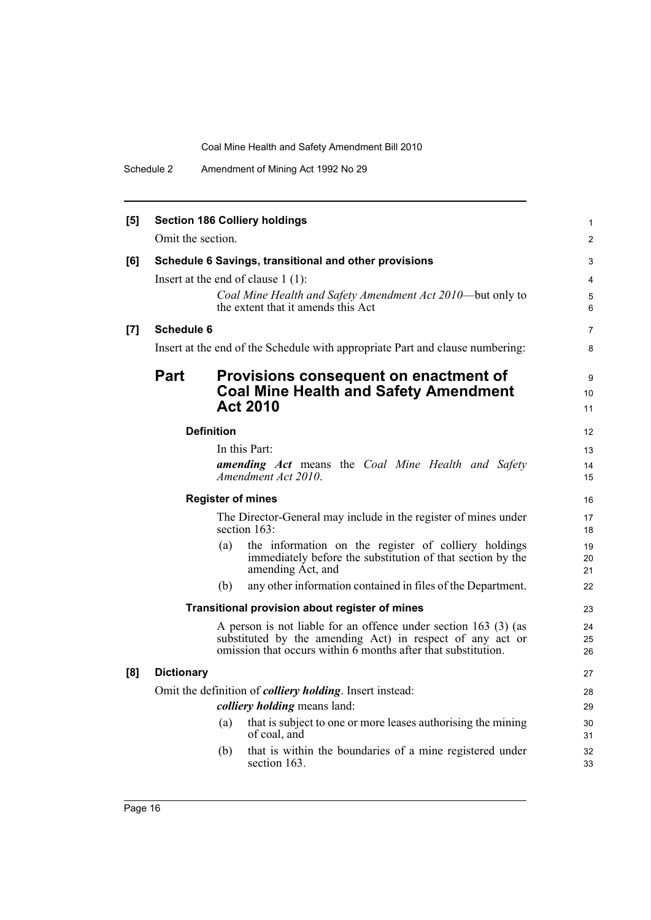Schedule 2 Amendment of Mining Act 1992 No 29

| [5] |                   | <b>Section 186 Colliery holdings</b>                                                                                                                                                          | $\mathbf{1}$    |
|-----|-------------------|-----------------------------------------------------------------------------------------------------------------------------------------------------------------------------------------------|-----------------|
|     | Omit the section. |                                                                                                                                                                                               | $\overline{2}$  |
| [6] |                   | Schedule 6 Savings, transitional and other provisions                                                                                                                                         | 3               |
|     |                   | Insert at the end of clause $1(1)$ :                                                                                                                                                          | 4               |
|     |                   | Coal Mine Health and Safety Amendment Act 2010—but only to<br>the extent that it amends this Act                                                                                              | 5<br>6          |
| [7] | <b>Schedule 6</b> |                                                                                                                                                                                               | $\overline{7}$  |
|     |                   | Insert at the end of the Schedule with appropriate Part and clause numbering:                                                                                                                 | 8               |
|     | Part              | Provisions consequent on enactment of                                                                                                                                                         | 9               |
|     |                   | <b>Coal Mine Health and Safety Amendment</b>                                                                                                                                                  | 10 <sup>°</sup> |
|     |                   | <b>Act 2010</b>                                                                                                                                                                               | 11              |
|     |                   | <b>Definition</b>                                                                                                                                                                             | 12              |
|     |                   | In this Part:                                                                                                                                                                                 | 13              |
|     |                   | <b>amending Act</b> means the Coal Mine Health and Safety<br>Amendment Act 2010.                                                                                                              | 14<br>15        |
|     |                   | <b>Register of mines</b>                                                                                                                                                                      | 16              |
|     |                   | The Director-General may include in the register of mines under<br>section 163:                                                                                                               | 17<br>18        |
|     |                   | (a)<br>the information on the register of colliery holdings<br>immediately before the substitution of that section by the<br>amending Act, and                                                | 19<br>20<br>21  |
|     |                   | any other information contained in files of the Department.<br>(b)                                                                                                                            | 22              |
|     |                   | Transitional provision about register of mines                                                                                                                                                | 23              |
|     |                   | A person is not liable for an offence under section 163 (3) (as<br>substituted by the amending Act) in respect of any act or<br>omission that occurs within 6 months after that substitution. | 24<br>25<br>26  |
| [8] | <b>Dictionary</b> |                                                                                                                                                                                               | 27              |
|     |                   | Omit the definition of <i>colliery holding</i> . Insert instead:                                                                                                                              | 28              |
|     |                   | <i>colliery holding</i> means land:                                                                                                                                                           | 29              |
|     |                   | that is subject to one or more leases authorising the mining<br>(a)<br>of coal, and                                                                                                           | 30<br>31        |
|     |                   | that is within the boundaries of a mine registered under<br>(b)<br>section 163.                                                                                                               | 32<br>33        |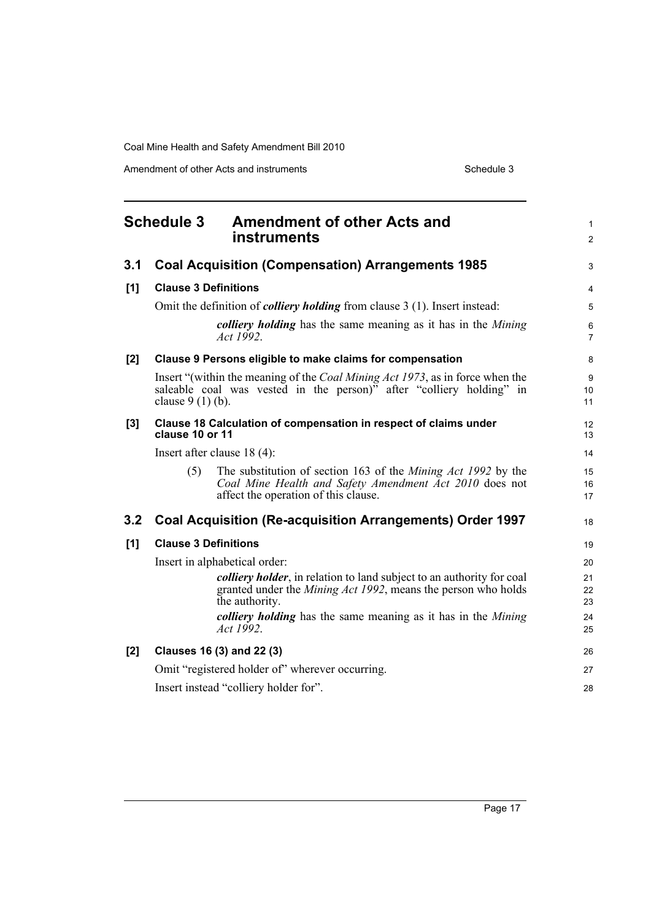Amendment of other Acts and instruments Schedule 3

<span id="page-24-0"></span>

| <b>Schedule 3</b> |                             | <b>Amendment of other Acts and</b><br>instruments                                                                                                                         | 1<br>$\overline{2}$ |
|-------------------|-----------------------------|---------------------------------------------------------------------------------------------------------------------------------------------------------------------------|---------------------|
| 3.1               |                             | <b>Coal Acquisition (Compensation) Arrangements 1985</b>                                                                                                                  | 3                   |
| [1]               | <b>Clause 3 Definitions</b> |                                                                                                                                                                           | 4                   |
|                   |                             | Omit the definition of <i>colliery holding</i> from clause 3 (1). Insert instead:                                                                                         | 5                   |
|                   |                             | colliery holding has the same meaning as it has in the Mining<br>Act 1992.                                                                                                | 6<br>$\overline{7}$ |
| [2]               |                             | Clause 9 Persons eligible to make claims for compensation                                                                                                                 | 8                   |
|                   | clause $9(1)(b)$ .          | Insert "(within the meaning of the <i>Coal Mining Act 1973</i> , as in force when the<br>saleable coal was vested in the person) <sup>5</sup> after "colliery holding" in | 9<br>10<br>11       |
| [3]               | clause 10 or 11             | Clause 18 Calculation of compensation in respect of claims under                                                                                                          | 12<br>13            |
|                   |                             | Insert after clause $18(4)$ :                                                                                                                                             | 14                  |
|                   | (5)                         | The substitution of section 163 of the <i>Mining Act 1992</i> by the<br>Coal Mine Health and Safety Amendment Act 2010 does not<br>affect the operation of this clause.   | 15<br>16<br>17      |
| 3.2               |                             | <b>Coal Acquisition (Re-acquisition Arrangements) Order 1997</b>                                                                                                          | 18                  |
| [1]               | <b>Clause 3 Definitions</b> |                                                                                                                                                                           | 19                  |
|                   |                             | Insert in alphabetical order:                                                                                                                                             | 20                  |
|                   |                             | <i>colliery holder</i> , in relation to land subject to an authority for coal<br>granted under the <i>Mining Act 1992</i> , means the person who holds<br>the authority.  | 21<br>22<br>23      |
|                   |                             | colliery holding has the same meaning as it has in the Mining<br>Act 1992.                                                                                                | 24<br>25            |
| [2]               |                             | Clauses 16 (3) and 22 (3)                                                                                                                                                 | 26                  |
|                   |                             | Omit "registered holder of" wherever occurring.                                                                                                                           | 27                  |
|                   |                             | Insert instead "colliery holder for".                                                                                                                                     | 28                  |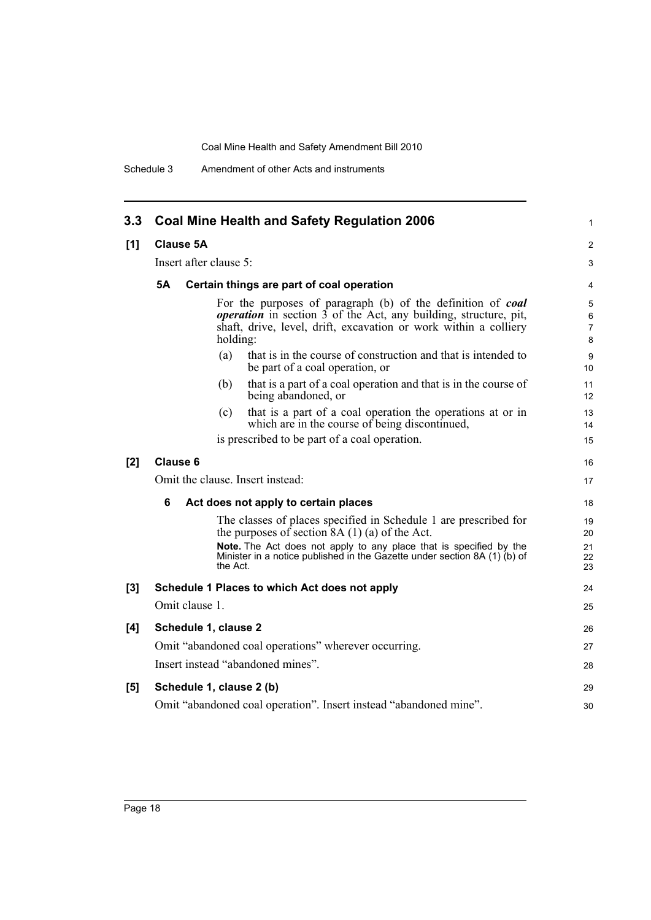Schedule 3 Amendment of other Acts and instruments

| 3.3   | <b>Coal Mine Health and Safety Regulation 2006</b>                                                                                                                                                                                         | 1                             |
|-------|--------------------------------------------------------------------------------------------------------------------------------------------------------------------------------------------------------------------------------------------|-------------------------------|
| [1]   | <b>Clause 5A</b>                                                                                                                                                                                                                           | $\overline{2}$                |
|       | Insert after clause 5:                                                                                                                                                                                                                     | 3                             |
|       | 5Α<br>Certain things are part of coal operation                                                                                                                                                                                            | $\overline{4}$                |
|       | For the purposes of paragraph (b) of the definition of <b>coal</b><br><i>operation</i> in section $\overline{3}$ of the Act, any building, structure, pit,<br>shaft, drive, level, drift, excavation or work within a colliery<br>holding: | 5<br>6<br>$\overline{7}$<br>8 |
|       | that is in the course of construction and that is intended to<br>(a)<br>be part of a coal operation, or                                                                                                                                    | 9<br>10                       |
|       | that is a part of a coal operation and that is in the course of<br>(b)<br>being abandoned, or                                                                                                                                              | 11<br>12                      |
|       | that is a part of a coal operation the operations at or in<br>(c)<br>which are in the course of being discontinued,                                                                                                                        | 13<br>14                      |
|       | is prescribed to be part of a coal operation.                                                                                                                                                                                              | 15                            |
| [2]   | <b>Clause 6</b>                                                                                                                                                                                                                            | 16                            |
|       | Omit the clause. Insert instead:                                                                                                                                                                                                           | 17                            |
|       | 6<br>Act does not apply to certain places                                                                                                                                                                                                  | 18                            |
|       | The classes of places specified in Schedule 1 are prescribed for<br>the purposes of section $8A(1)(a)$ of the Act.                                                                                                                         | 19<br>20                      |
|       | Note. The Act does not apply to any place that is specified by the<br>Minister in a notice published in the Gazette under section 8A (1) (b) of<br>the Act.                                                                                | 21<br>22<br>23                |
| $[3]$ | Schedule 1 Places to which Act does not apply                                                                                                                                                                                              | 24                            |
|       | Omit clause 1.                                                                                                                                                                                                                             | 25                            |
| [4]   | Schedule 1, clause 2                                                                                                                                                                                                                       | 26                            |
|       | Omit "abandoned coal operations" wherever occurring.                                                                                                                                                                                       | 27                            |
|       | Insert instead "abandoned mines".                                                                                                                                                                                                          | 28                            |
| [5]   | Schedule 1, clause 2 (b)                                                                                                                                                                                                                   | 29                            |
|       | Omit "abandoned coal operation". Insert instead "abandoned mine".                                                                                                                                                                          | 30                            |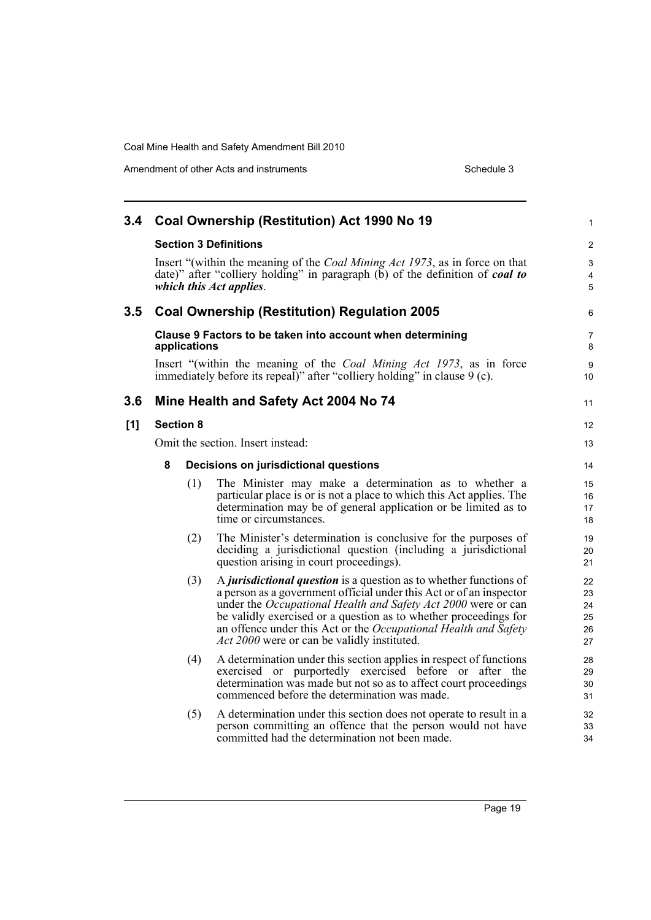Amendment of other Acts and instruments Schedule 3

| 3.4 |                                   |                  | Coal Ownership (Restitution) Act 1990 No 19                                                                                                                                                                                                                                                                                                                                                                           | $\mathbf{1}$                        |
|-----|-----------------------------------|------------------|-----------------------------------------------------------------------------------------------------------------------------------------------------------------------------------------------------------------------------------------------------------------------------------------------------------------------------------------------------------------------------------------------------------------------|-------------------------------------|
|     |                                   |                  | <b>Section 3 Definitions</b>                                                                                                                                                                                                                                                                                                                                                                                          | $\overline{c}$                      |
|     |                                   |                  | Insert "(within the meaning of the <i>Coal Mining Act 1973</i> , as in force on that<br>date)" after "colliery holding" in paragraph $(b)$ of the definition of coal to<br>which this Act applies.                                                                                                                                                                                                                    | $\ensuremath{\mathsf{3}}$<br>4<br>5 |
| 3.5 |                                   |                  | <b>Coal Ownership (Restitution) Regulation 2005</b>                                                                                                                                                                                                                                                                                                                                                                   | 6                                   |
|     |                                   | applications     | Clause 9 Factors to be taken into account when determining                                                                                                                                                                                                                                                                                                                                                            | 7<br>8                              |
|     |                                   |                  | Insert "(within the meaning of the <i>Coal Mining Act 1973</i> , as in force<br>immediately before its repeal)" after "colliery holding" in clause 9 (c).                                                                                                                                                                                                                                                             | 9<br>10                             |
| 3.6 |                                   |                  | Mine Health and Safety Act 2004 No 74                                                                                                                                                                                                                                                                                                                                                                                 | 11                                  |
| [1] |                                   | <b>Section 8</b> |                                                                                                                                                                                                                                                                                                                                                                                                                       | $12 \overline{ }$                   |
|     | Omit the section. Insert instead: |                  |                                                                                                                                                                                                                                                                                                                                                                                                                       | 13                                  |
|     | 8                                 |                  | Decisions on jurisdictional questions                                                                                                                                                                                                                                                                                                                                                                                 | 14                                  |
|     |                                   | (1)              | The Minister may make a determination as to whether a<br>particular place is or is not a place to which this Act applies. The<br>determination may be of general application or be limited as to<br>time or circumstances.                                                                                                                                                                                            | 15<br>16<br>17<br>18                |
|     |                                   | (2)              | The Minister's determination is conclusive for the purposes of<br>deciding a jurisdictional question (including a jurisdictional<br>question arising in court proceedings).                                                                                                                                                                                                                                           | 19<br>20<br>21                      |
|     |                                   | (3)              | A <i>jurisdictional question</i> is a question as to whether functions of<br>a person as a government official under this Act or of an inspector<br>under the <i>Occupational Health and Safety Act 2000</i> were or can<br>be validly exercised or a question as to whether proceedings for<br>an offence under this Act or the Occupational Health and Safety<br><i>Act 2000</i> were or can be validly instituted. | 22<br>23<br>24<br>25<br>26<br>27    |
|     |                                   | (4)              | A determination under this section applies in respect of functions<br>exercised or purportedly exercised before or after the<br>determination was made but not so as to affect court proceedings<br>commenced before the determination was made.                                                                                                                                                                      | 28<br>29<br>30<br>31                |
|     |                                   | (5)              | A determination under this section does not operate to result in a<br>person committing an offence that the person would not have<br>committed had the determination not been made.                                                                                                                                                                                                                                   | 32<br>33<br>34                      |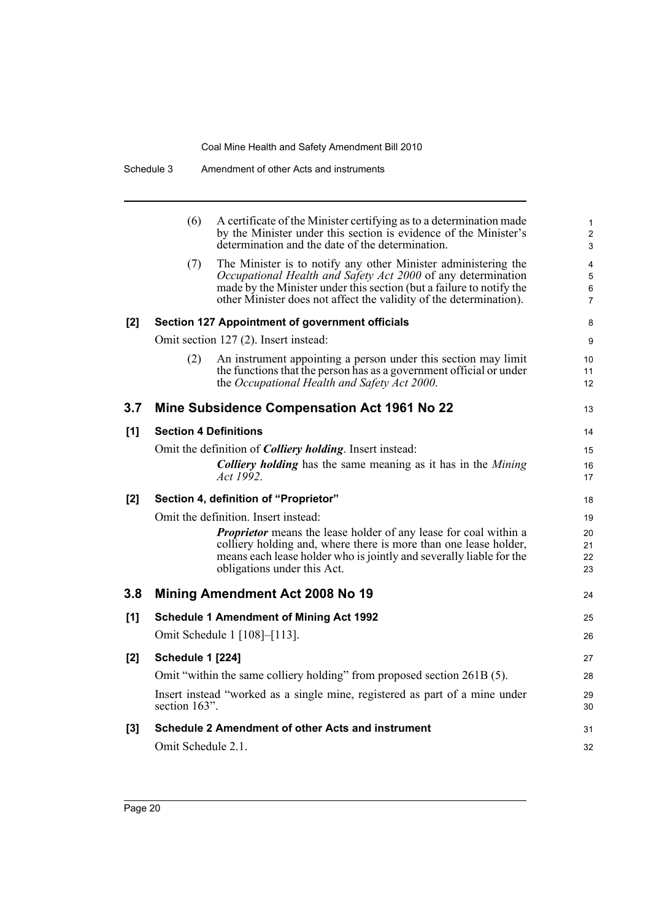|     | (6)                          | A certificate of the Minister certifying as to a determination made<br>by the Minister under this section is evidence of the Minister's<br>determination and the date of the determination.                                                                                  | 1<br>$\overline{2}$<br>3      |
|-----|------------------------------|------------------------------------------------------------------------------------------------------------------------------------------------------------------------------------------------------------------------------------------------------------------------------|-------------------------------|
|     | (7)                          | The Minister is to notify any other Minister administering the<br>Occupational Health and Safety Act 2000 of any determination<br>made by the Minister under this section (but a failure to notify the<br>other Minister does not affect the validity of the determination). | 4<br>5<br>6<br>$\overline{7}$ |
| [2] |                              | Section 127 Appointment of government officials                                                                                                                                                                                                                              | 8                             |
|     |                              | Omit section 127 (2). Insert instead:                                                                                                                                                                                                                                        | 9                             |
|     | (2)                          | An instrument appointing a person under this section may limit<br>the functions that the person has as a government official or under<br>the Occupational Health and Safety Act 2000.                                                                                        | 10<br>11<br>12                |
| 3.7 |                              | <b>Mine Subsidence Compensation Act 1961 No 22</b>                                                                                                                                                                                                                           | 13                            |
| [1] | <b>Section 4 Definitions</b> |                                                                                                                                                                                                                                                                              | 14                            |
|     |                              | Omit the definition of <i>Colliery holding</i> . Insert instead:                                                                                                                                                                                                             | 15                            |
|     |                              | <b>Colliery holding</b> has the same meaning as it has in the <i>Mining</i><br>Act 1992.                                                                                                                                                                                     | 16<br>17                      |
| [2] |                              | Section 4, definition of "Proprietor"                                                                                                                                                                                                                                        | 18                            |
|     |                              | Omit the definition. Insert instead:                                                                                                                                                                                                                                         | 19                            |
|     |                              | <b>Proprietor</b> means the lease holder of any lease for coal within a<br>colliery holding and, where there is more than one lease holder,<br>means each lease holder who is jointly and severally liable for the<br>obligations under this Act.                            | 20<br>21<br>22<br>23          |
| 3.8 |                              | Mining Amendment Act 2008 No 19                                                                                                                                                                                                                                              | 24                            |
| [1] |                              | <b>Schedule 1 Amendment of Mining Act 1992</b>                                                                                                                                                                                                                               | 25                            |
|     |                              | Omit Schedule 1 [108]–[113].                                                                                                                                                                                                                                                 | 26                            |
| [2] | <b>Schedule 1 [224]</b>      |                                                                                                                                                                                                                                                                              | 27                            |
|     |                              | Omit "within the same colliery holding" from proposed section 261B (5).                                                                                                                                                                                                      | 28                            |
|     | section 163".                | Insert instead "worked as a single mine, registered as part of a mine under                                                                                                                                                                                                  | 29<br>30                      |
| [3] |                              | Schedule 2 Amendment of other Acts and instrument                                                                                                                                                                                                                            | 31                            |
|     | Omit Schedule 2.1.           |                                                                                                                                                                                                                                                                              | 32                            |
|     |                              |                                                                                                                                                                                                                                                                              |                               |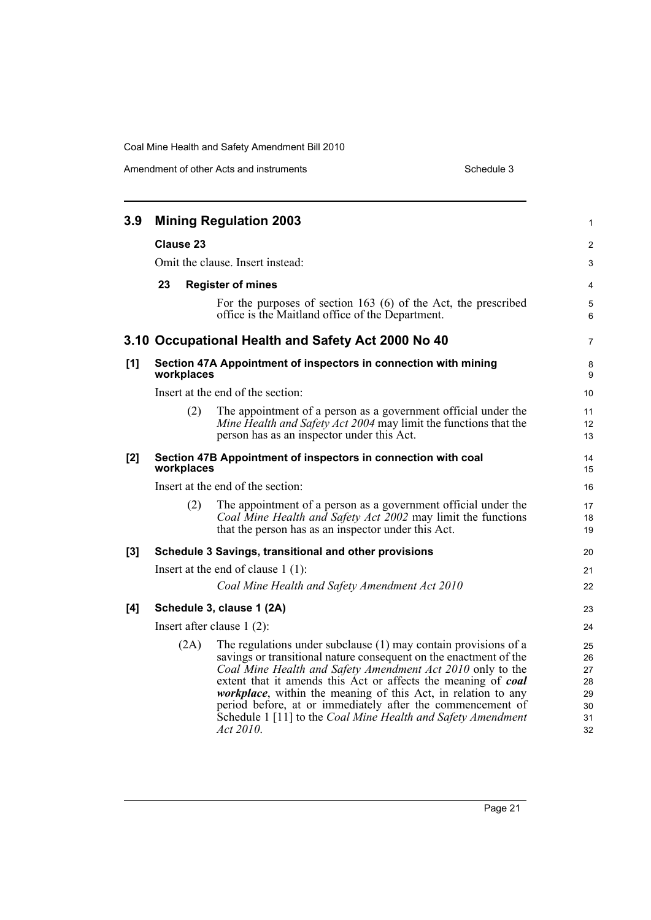Amendment of other Acts and instruments Schedule 3

| 3.9 |    |                  | <b>Mining Regulation 2003</b>                                                                                                                                                                                                                                                                                                                                                                                                                                                             | $\mathbf{1}$                                 |
|-----|----|------------------|-------------------------------------------------------------------------------------------------------------------------------------------------------------------------------------------------------------------------------------------------------------------------------------------------------------------------------------------------------------------------------------------------------------------------------------------------------------------------------------------|----------------------------------------------|
|     |    | <b>Clause 23</b> |                                                                                                                                                                                                                                                                                                                                                                                                                                                                                           | $\mathbf{2}$                                 |
|     |    |                  | Omit the clause. Insert instead:                                                                                                                                                                                                                                                                                                                                                                                                                                                          | 3                                            |
|     | 23 |                  | <b>Register of mines</b>                                                                                                                                                                                                                                                                                                                                                                                                                                                                  | 4                                            |
|     |    |                  | For the purposes of section $163$ (6) of the Act, the prescribed<br>office is the Maitland office of the Department.                                                                                                                                                                                                                                                                                                                                                                      | 5<br>6                                       |
|     |    |                  | 3.10 Occupational Health and Safety Act 2000 No 40                                                                                                                                                                                                                                                                                                                                                                                                                                        | $\overline{7}$                               |
| [1] |    | workplaces       | Section 47A Appointment of inspectors in connection with mining                                                                                                                                                                                                                                                                                                                                                                                                                           | 8<br>9                                       |
|     |    |                  | Insert at the end of the section:                                                                                                                                                                                                                                                                                                                                                                                                                                                         | 10 <sup>°</sup>                              |
|     |    | (2)              | The appointment of a person as a government official under the<br>Mine Health and Safety Act 2004 may limit the functions that the<br>person has as an inspector under this Act.                                                                                                                                                                                                                                                                                                          | 11<br>12<br>13                               |
| [2] |    | workplaces       | Section 47B Appointment of inspectors in connection with coal                                                                                                                                                                                                                                                                                                                                                                                                                             | 14<br>15                                     |
|     |    |                  | Insert at the end of the section:                                                                                                                                                                                                                                                                                                                                                                                                                                                         | 16                                           |
|     |    | (2)              | The appointment of a person as a government official under the<br>Coal Mine Health and Safety Act 2002 may limit the functions<br>that the person has as an inspector under this Act.                                                                                                                                                                                                                                                                                                     | 17<br>18<br>19                               |
| [3] |    |                  | Schedule 3 Savings, transitional and other provisions                                                                                                                                                                                                                                                                                                                                                                                                                                     | 20                                           |
|     |    |                  | Insert at the end of clause $1(1)$ :                                                                                                                                                                                                                                                                                                                                                                                                                                                      | 21                                           |
|     |    |                  | Coal Mine Health and Safety Amendment Act 2010                                                                                                                                                                                                                                                                                                                                                                                                                                            | 22                                           |
| [4] |    |                  | Schedule 3, clause 1 (2A)                                                                                                                                                                                                                                                                                                                                                                                                                                                                 | 23                                           |
|     |    |                  | Insert after clause $1(2)$ :                                                                                                                                                                                                                                                                                                                                                                                                                                                              | 24                                           |
|     |    | (2A)             | The regulations under subclause $(1)$ may contain provisions of a<br>savings or transitional nature consequent on the enactment of the<br>Coal Mine Health and Safety Amendment Act 2010 only to the<br>extent that it amends this Act or affects the meaning of coal<br><i>workplace</i> , within the meaning of this Act, in relation to any<br>period before, at or immediately after the commencement of<br>Schedule 1 [11] to the Coal Mine Health and Safety Amendment<br>Act 2010. | 25<br>26<br>27<br>28<br>29<br>30<br>31<br>32 |